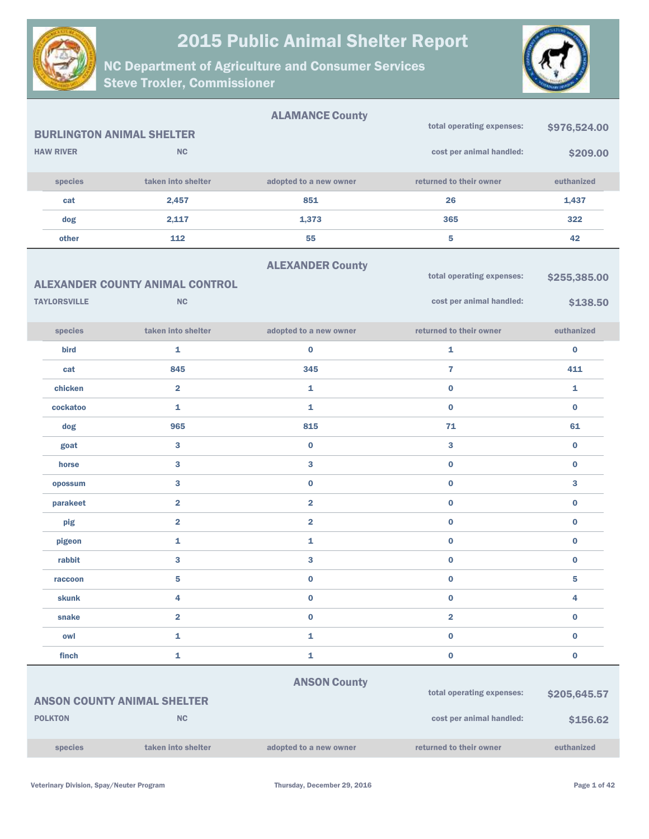

NC Department of Agriculture and Consumer Services Steve Troxler, Commissioner



|                     |                                        | <b>ALAMANCE County</b>  |                           |              |
|---------------------|----------------------------------------|-------------------------|---------------------------|--------------|
|                     | <b>BURLINGTON ANIMAL SHELTER</b>       |                         | total operating expenses: | \$976,524.00 |
| <b>HAW RIVER</b>    | <b>NC</b>                              |                         | cost per animal handled:  | \$209.00     |
| species             | taken into shelter                     | adopted to a new owner  | returned to their owner   | euthanized   |
| cat                 | 2,457                                  | 851                     | 26                        | 1,437        |
| dog                 | 2,117                                  | 1,373                   | 365                       | 322          |
| other               | 112                                    | 55                      | 5                         | 42           |
|                     |                                        | <b>ALEXANDER County</b> |                           |              |
|                     | <b>ALEXANDER COUNTY ANIMAL CONTROL</b> |                         | total operating expenses: | \$255,385.00 |
| <b>TAYLORSVILLE</b> | <b>NC</b>                              |                         | cost per animal handled:  | \$138.50     |
| species             | taken into shelter                     | adopted to a new owner  | returned to their owner   | euthanized   |
| bird                | 1                                      | $\bf{0}$                | 1                         | $\bf{0}$     |
| cat                 | 845                                    | 345                     | $\overline{7}$            | 411          |
| chicken             | $\overline{2}$                         | 1                       | $\bf{0}$                  | 1            |
| cockatoo            | 1                                      | 1                       | $\bf{0}$                  | $\bf{0}$     |
| dog                 | 965                                    | 815                     | 71                        | 61           |
| goat                | 3                                      | $\pmb{0}$               | 3                         | $\bf{0}$     |
| horse               | 3                                      | $\bf{3}$                | $\bf{0}$                  | $\bf{0}$     |
| opossum             | 3                                      | $\pmb{0}$               | $\bf{0}$                  | 3            |
| parakeet            | $\overline{2}$                         | $\overline{2}$          | $\bf{0}$                  | $\bf{0}$     |
| pig                 | $\overline{\mathbf{2}}$                | $\overline{\mathbf{2}}$ | $\bf{0}$                  | 0            |
| pigeon              | 1                                      | 1                       | $\pmb{0}$                 | $\bf{0}$     |
| rabbit              | 3                                      | 3                       | $\pmb{0}$                 | $\bf{0}$     |
| raccoon             | 5                                      | $\pmb{0}$               | $\bf{0}$                  | 5            |
| <b>skunk</b>        | 4                                      | $\pmb{0}$               | $\pmb{0}$                 | 4            |
| snake               | $\overline{\mathbf{2}}$                | $\pmb{0}$               | $\overline{\mathbf{2}}$   | 0            |
| owl                 | 1                                      | $\mathbf 1$             | $\pmb{0}$                 | $\bf{0}$     |
| finch               | 1                                      | $\mathbf 1$             | $\bf{0}$                  | 0            |
|                     |                                        | <b>ANSON County</b>     |                           |              |
|                     | <b>ANSON COUNTY ANIMAL SHELTER</b>     |                         | total operating expenses: | \$205,645.57 |
| <b>POLKTON</b>      | NC                                     |                         | cost per animal handled:  | \$156.62     |
|                     |                                        |                         |                           |              |

species taken into shelter adopted to a new owner returned to their owner euthanized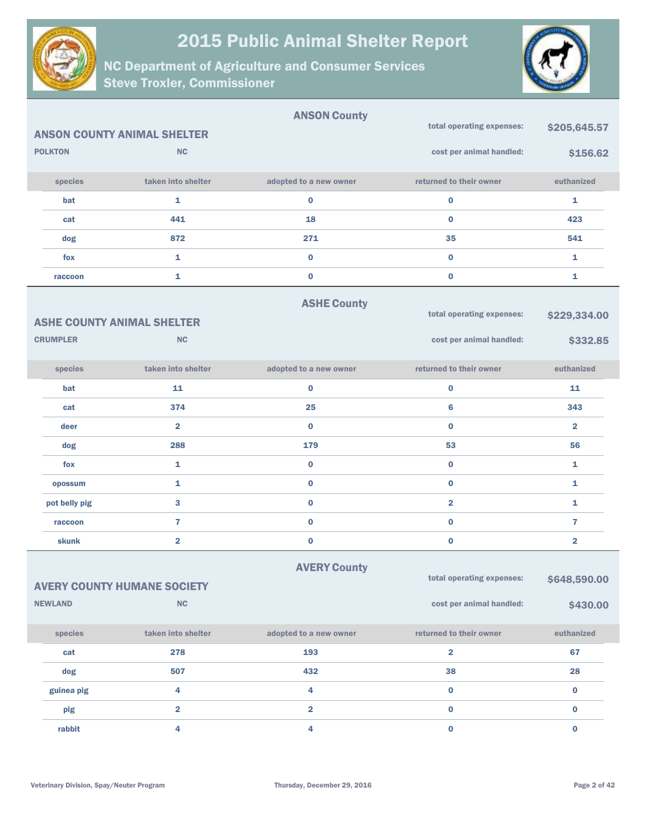



|                 |                                    | <b>ANSON County</b>     |                           |                         |
|-----------------|------------------------------------|-------------------------|---------------------------|-------------------------|
|                 | <b>ANSON COUNTY ANIMAL SHELTER</b> |                         | total operating expenses: | \$205,645.57            |
| <b>POLKTON</b>  | <b>NC</b>                          |                         | cost per animal handled:  | \$156.62                |
| species         | taken into shelter                 | adopted to a new owner  | returned to their owner   | euthanized              |
| bat             | 1                                  | 0                       | $\bf{0}$                  | 1                       |
| cat             | 441                                | 18                      | $\bf{0}$                  | 423                     |
| dog             | 872                                | 271                     | 35                        | 541                     |
| fox             | 1                                  | $\bf{0}$                | $\bf{0}$                  | 1                       |
| raccoon         | 1                                  | $\pmb{0}$               | $\bf{0}$                  | 1                       |
|                 |                                    | <b>ASHE County</b>      |                           |                         |
|                 | <b>ASHE COUNTY ANIMAL SHELTER</b>  |                         | total operating expenses: | \$229,334.00            |
| <b>CRUMPLER</b> | <b>NC</b>                          |                         | cost per animal handled:  | \$332.85                |
| species         | taken into shelter                 | adopted to a new owner  | returned to their owner   | euthanized              |
| bat             | 11                                 | 0                       | $\bf{0}$                  | 11                      |
| cat             | 374                                | 25                      | 6                         | 343                     |
| deer            | $\overline{\mathbf{2}}$            | $\bf{0}$                | $\bf{0}$                  | $\overline{2}$          |
| dog             | 288                                | 179                     | 53                        | 56                      |
| fox             | 1                                  | $\bf{0}$                | $\bf{0}$                  | 1                       |
| opossum         | 1                                  | $\bf{0}$                | $\bf{0}$                  | $\mathbf{1}$            |
| pot belly pig   | 3                                  | $\bf{0}$                | $\overline{\mathbf{2}}$   | 1                       |
| raccoon         | $\overline{7}$                     | $\bf{0}$                | $\bf{0}$                  | $\overline{7}$          |
| skunk           | $\overline{\mathbf{2}}$            | $\pmb{0}$               | $\pmb{0}$                 | $\overline{\mathbf{2}}$ |
|                 |                                    | <b>AVERY County</b>     |                           |                         |
|                 | <b>AVERY COUNTY HUMANE SOCIETY</b> |                         | total operating expenses: | \$648,590.00            |
| <b>NEWLAND</b>  | <b>NC</b>                          |                         | cost per animal handled:  | \$430.00                |
| species         | taken into shelter                 | adopted to a new owner  | returned to their owner   | euthanized              |
| cat             | 278                                | 193                     | $\overline{\mathbf{2}}$   | 67                      |
| dog             | 507                                | 432                     | 38                        | 28                      |
| guinea pig      | 4                                  | 4                       | $\pmb{0}$                 | $\bf{0}$                |
| pig             | $\overline{\mathbf{2}}$            | $\overline{\mathbf{2}}$ | $\bf{0}$                  | $\mathbf 0$             |
| rabbit          | 4                                  | 4                       | $\pmb{0}$                 | $\bf{0}$                |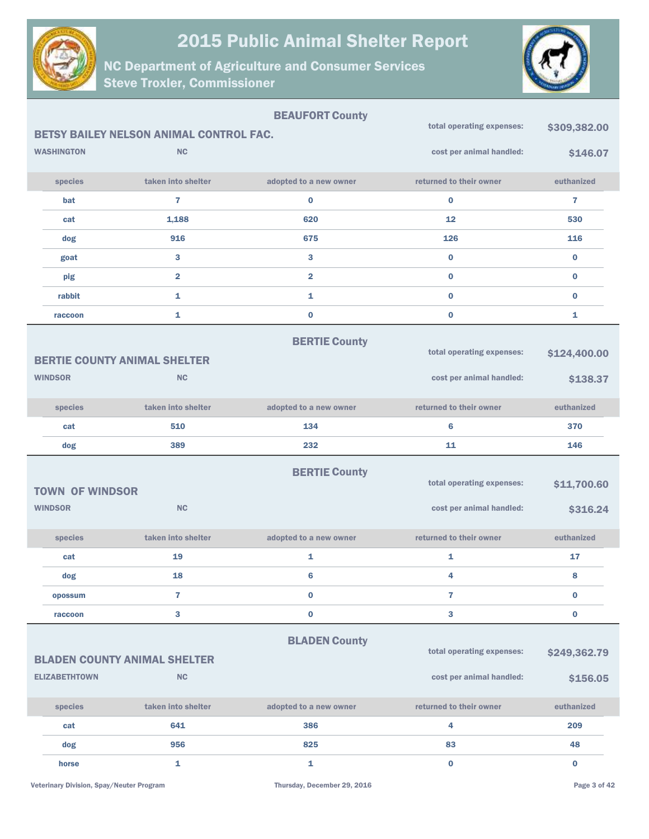



| <b>BEAUFORT County</b> |                        |                                                |                         | total operating expenses: |              |
|------------------------|------------------------|------------------------------------------------|-------------------------|---------------------------|--------------|
|                        |                        | <b>BETSY BAILEY NELSON ANIMAL CONTROL FAC.</b> |                         |                           | \$309,382.00 |
|                        | <b>WASHINGTON</b>      | <b>NC</b>                                      |                         | cost per animal handled:  | \$146.07     |
|                        | species                | taken into shelter                             | adopted to a new owner  | returned to their owner   | euthanized   |
|                        | bat                    | $\overline{7}$                                 | $\bf{0}$                | $\bf{0}$                  | 7            |
|                        | cat                    | 1,188                                          | 620                     | 12                        | 530          |
|                        | dog                    | 916                                            | 675                     | 126                       | 116          |
|                        | goat                   | $\mathbf{3}$                                   | 3                       | $\bf{0}$                  | $\bf{0}$     |
|                        | pig                    | $\overline{\mathbf{2}}$                        | $\overline{\mathbf{2}}$ | $\bf{0}$                  | $\bf{0}$     |
|                        | rabbit                 | $\mathbf{1}$                                   | $\mathbf{1}$            | $\bf{0}$                  | $\bf{0}$     |
|                        | raccoon                | $\mathbf{1}$                                   | $\bf{0}$                | $\bf{0}$                  | 1            |
|                        |                        | <b>BERTIE COUNTY ANIMAL SHELTER</b>            | <b>BERTIE County</b>    | total operating expenses: | \$124,400.00 |
| <b>WINDSOR</b>         |                        | <b>NC</b>                                      |                         | cost per animal handled:  | \$138.37     |
|                        | species                | taken into shelter                             | adopted to a new owner  | returned to their owner   | euthanized   |
|                        | cat                    | 510                                            | 134                     | 6                         | 370          |
|                        |                        |                                                |                         |                           |              |
|                        | dog                    | 389                                            | 232                     | 11                        | 146          |
|                        | <b>TOWN OF WINDSOR</b> |                                                | <b>BERTIE County</b>    | total operating expenses: | \$11,700.60  |
| <b>WINDSOR</b>         |                        | NC                                             |                         | cost per animal handled:  | \$316.24     |
|                        | species                | taken into shelter                             | adopted to a new owner  | returned to their owner   | euthanized   |
|                        | cat                    | 19                                             | 1                       | 1                         | 17           |
|                        | dog                    | 18                                             | 6                       | 4                         | 8            |
|                        | opossum                | $\overline{7}$                                 | $\bf{0}$                | $\overline{7}$            | $\bf{0}$     |
|                        | raccoon                | 3                                              | $\bf{0}$                | 3                         | $\bf{0}$     |
|                        |                        | <b>BLADEN COUNTY ANIMAL SHELTER</b>            | <b>BLADEN County</b>    | total operating expenses: | \$249,362.79 |
|                        | <b>ELIZABETHTOWN</b>   | <b>NC</b>                                      |                         | cost per animal handled:  | \$156.05     |
|                        | species                | taken into shelter                             | adopted to a new owner  | returned to their owner   | euthanized   |
|                        | cat                    | 641                                            | 386                     | 4                         | 209          |
|                        | dog                    | 956                                            | 825                     | 83                        | 48           |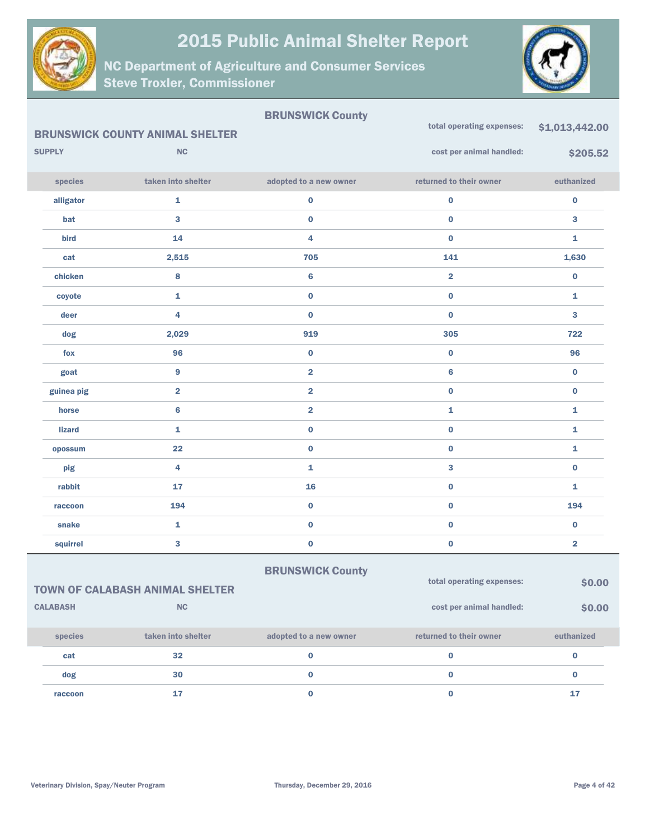

NC Department of Agriculture and Consumer Services Steve Troxler, Commissioner



#### BRUNSWICK County

|                                                                               | <b>BRUNSWICK COUNTY ANIMAL SHELTER</b> |                         | total operating expenses: | \$1,013,442.00          |
|-------------------------------------------------------------------------------|----------------------------------------|-------------------------|---------------------------|-------------------------|
| <b>SUPPLY</b>                                                                 | NC                                     |                         | cost per animal handled:  | \$205.52                |
| species                                                                       | taken into shelter                     | adopted to a new owner  | returned to their owner   | euthanized              |
| alligator                                                                     | $\mathbf{1}$                           | $\pmb{0}$               | $\pmb{0}$                 | $\pmb{0}$               |
| bat                                                                           | $\bf{3}$                               | $\pmb{0}$               | $\pmb{0}$                 | 3                       |
| bird                                                                          | 14                                     | 4                       | $\mathbf 0$               | $\mathbf{1}$            |
| cat                                                                           | 2,515                                  | 705                     | 141                       | 1,630                   |
| chicken                                                                       | 8                                      | $\bf{6}$                | $\overline{\mathbf{2}}$   | $\bf{0}$                |
| coyote                                                                        | $\mathbf{1}$                           | $\pmb{0}$               | $\pmb{0}$                 | $\mathbf{1}$            |
| deer                                                                          | $\overline{\mathbf{4}}$                | $\pmb{0}$               | $\pmb{0}$                 | 3                       |
| dog                                                                           | 2,029                                  | 919                     | 305                       | 722                     |
| fox                                                                           | 96                                     | $\pmb{0}$               | $\pmb{0}$                 | 96                      |
| goat                                                                          | $\overline{9}$                         | $\overline{\mathbf{2}}$ | $\bf{6}$                  | $\pmb{0}$               |
| guinea pig                                                                    | $\overline{2}$                         | $\overline{\mathbf{2}}$ | $\pmb{0}$                 | $\pmb{0}$               |
| horse                                                                         | $6\phantom{1}6$                        | $\overline{\mathbf{2}}$ | $\mathbf{1}$              | 1                       |
| <b>lizard</b>                                                                 | $\mathbf{1}$                           | $\pmb{0}$               | $\pmb{0}$                 | 1                       |
| opossum                                                                       | 22                                     | $\pmb{0}$               | $\pmb{0}$                 | $\mathbf{1}$            |
| pig                                                                           | 4                                      | $\mathbf 1$             | $\mathbf{3}$              | $\pmb{0}$               |
| rabbit                                                                        | 17                                     | 16                      | $\pmb{0}$                 | $\mathbf{1}$            |
| raccoon                                                                       | 194                                    | $\pmb{0}$               | $\pmb{0}$                 | 194                     |
| snake                                                                         | $\bar{\mathbf{1}}$                     | $\pmb{0}$               | $\pmb{0}$                 | $\pmb{0}$               |
| squirrel                                                                      | $\overline{\mathbf{3}}$                | $\pmb{0}$               | $\pmb{0}$                 | $\overline{\mathbf{2}}$ |
|                                                                               |                                        | <b>BRUNSWICK County</b> |                           |                         |
| total operating expenses:<br>\$0.00<br><b>TOWN OF CALABASH ANIMAL SHELTER</b> |                                        |                         |                           |                         |
| <b>CALABASH</b>                                                               | <b>NC</b>                              |                         | cost per animal handled:  | \$0.00                  |

| <b>species</b> | taken into shelter | adopted to a new owner | returned to their owner | euthanized |
|----------------|--------------------|------------------------|-------------------------|------------|
| cat            | 32                 |                        |                         |            |
| dog            | 30                 |                        |                         |            |
| raccoon        |                    |                        |                         |            |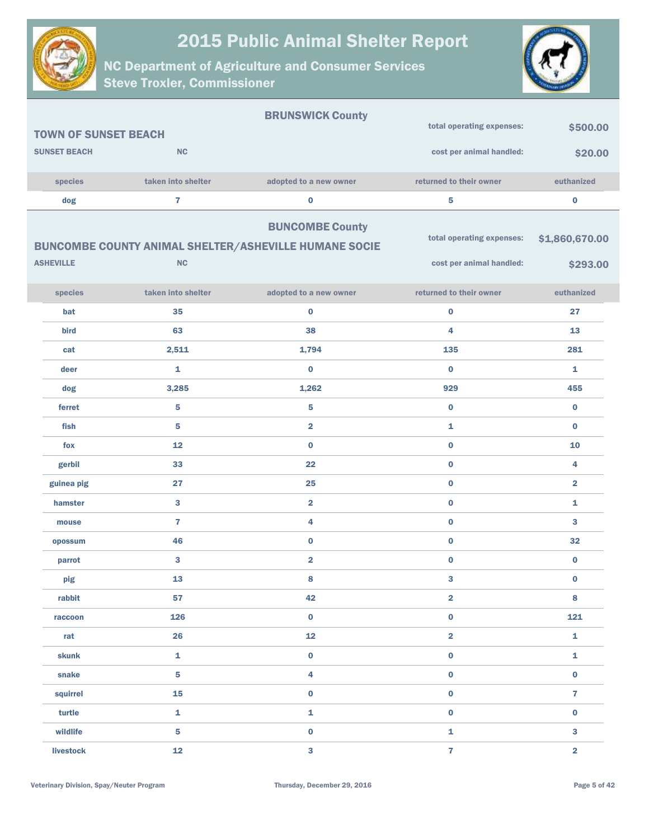



|                             |                         | <b>BRUNSWICK County</b>                                      |                           |                         |
|-----------------------------|-------------------------|--------------------------------------------------------------|---------------------------|-------------------------|
| <b>TOWN OF SUNSET BEACH</b> |                         |                                                              | total operating expenses: | \$500.00                |
| <b>SUNSET BEACH</b>         | NC                      |                                                              | cost per animal handled:  | \$20.00                 |
| species                     | taken into shelter      | adopted to a new owner                                       | returned to their owner   | euthanized              |
| dog                         | $\overline{7}$          | 0                                                            | ${\bf 5}$                 | $\bf{0}$                |
|                             |                         | <b>BUNCOMBE County</b>                                       |                           |                         |
|                             |                         | <b>BUNCOMBE COUNTY ANIMAL SHELTER/ASHEVILLE HUMANE SOCIE</b> | total operating expenses: | \$1,860,670.00          |
| <b>ASHEVILLE</b>            | NC                      |                                                              | cost per animal handled:  | \$293.00                |
|                             |                         |                                                              |                           |                         |
| species                     | taken into shelter      | adopted to a new owner                                       | returned to their owner   | euthanized              |
| bat                         | 35                      | 0                                                            | $\pmb{0}$                 | 27                      |
| bird                        | 63                      | 38                                                           | 4                         | 13                      |
| cat                         | 2,511                   | 1,794                                                        | 135                       | 281                     |
| deer                        | 1                       | $\bf{0}$                                                     | $\bf{0}$                  | 1                       |
| dog                         | 3,285                   | 1,262                                                        | 929                       | 455                     |
| ferret                      | ${\bf 5}$               | 5                                                            | $\bf{0}$                  | $\bf{0}$                |
| fish                        | 5                       | $\overline{\mathbf{2}}$                                      | 1                         | $\bf{0}$                |
| fox                         | 12                      | $\bf{0}$                                                     | $\bf{0}$                  | 10                      |
| gerbil                      | 33                      | 22                                                           | $\pmb{0}$                 | 4                       |
| guinea pig                  | 27                      | 25                                                           | $\pmb{0}$                 | $\overline{\mathbf{2}}$ |
| hamster                     | 3                       | $\overline{\mathbf{2}}$                                      | $\pmb{0}$                 | $\mathbf{1}$            |
| mouse                       | $\overline{7}$          | 4                                                            | $\bf{0}$                  | 3                       |
| opossum                     | 46                      | $\bf{0}$                                                     | $\pmb{0}$                 | 32                      |
| parrot                      | 3                       | $\overline{\mathbf{2}}$                                      | $\bf{0}$                  | $\bf{0}$                |
| pig                         | 13                      | 8                                                            | 3                         | $\bf{0}$                |
| rabbit                      | 57                      | 42                                                           | $\overline{\mathbf{2}}$   | 8                       |
| raccoon                     | 126                     | $\mathbf 0$                                                  | $\pmb{0}$                 | 121                     |
| rat                         | 26                      | 12                                                           | $\overline{\mathbf{2}}$   | $\mathbf 1$             |
| skunk                       | $\mathbf 1$             | $\mathbf 0$                                                  | $\mathbf 0$               | $\mathbf 1$             |
| snake                       | $\overline{\mathbf{5}}$ | 4                                                            | $\pmb{0}$                 | $\mathbf 0$             |
| squirrel                    | 15                      | $\mathbf 0$                                                  | $\mathbf 0$               | $\overline{7}$          |
| turtle                      | $\mathbf 1$             | 1                                                            | $\pmb{0}$                 | $\mathbf 0$             |
| wildlife                    | $\overline{\mathbf{5}}$ | $\pmb{0}$                                                    | $\mathbf{1}$              | $\mathbf{3}$            |
| livestock                   | 12                      | 3                                                            | $\overline{7}$            | $\overline{\mathbf{2}}$ |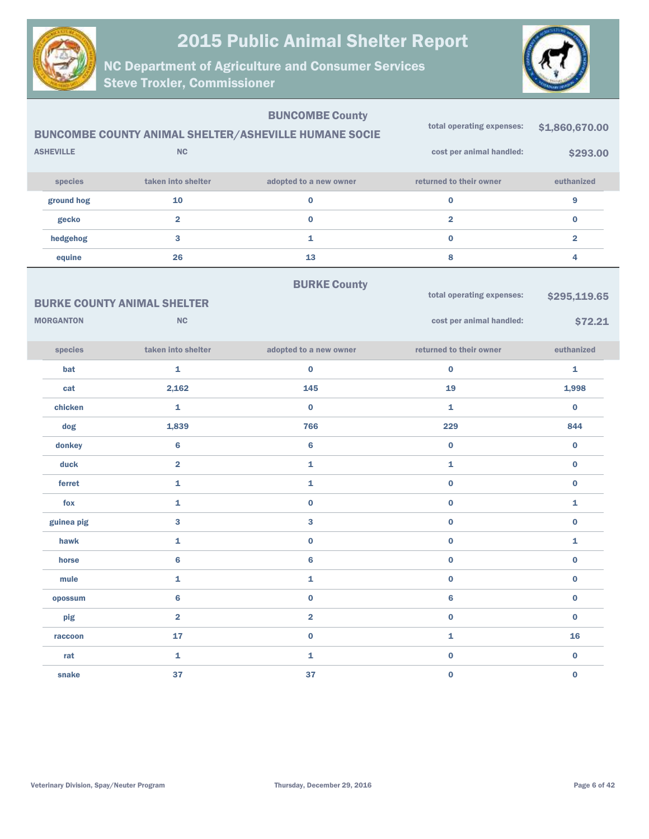



| <b>ASHEVILLE</b><br>species<br>ground hog<br>gecko<br>hedgehog | <b>NC</b><br>taken into shelter<br>10<br>$\overline{2}$<br>3 | <b>BUNCOMBE County</b><br><b>BUNCOMBE COUNTY ANIMAL SHELTER/ASHEVILLE HUMANE SOCIE</b><br>adopted to a new owner<br>$\bf{0}$<br>$\bf{0}$<br>$\mathbf{1}$ | total operating expenses:<br>cost per animal handled:<br>returned to their owner<br>$\pmb{0}$<br>$\overline{\mathbf{2}}$<br>$\bf{0}$ | \$1,860,670.00<br>\$293.00<br>euthanized<br>9<br>$\bf{0}$<br>$\overline{\mathbf{2}}$ |
|----------------------------------------------------------------|--------------------------------------------------------------|----------------------------------------------------------------------------------------------------------------------------------------------------------|--------------------------------------------------------------------------------------------------------------------------------------|--------------------------------------------------------------------------------------|
| equine                                                         | 26                                                           | 13                                                                                                                                                       | 8                                                                                                                                    | 4                                                                                    |
| <b>MORGANTON</b>                                               | <b>BURKE COUNTY ANIMAL SHELTER</b><br><b>NC</b>              | <b>BURKE County</b>                                                                                                                                      | total operating expenses:<br>cost per animal handled:                                                                                | \$295,119.65<br>\$72.21                                                              |
| species                                                        | taken into shelter                                           | adopted to a new owner                                                                                                                                   | returned to their owner                                                                                                              | euthanized                                                                           |
| bat                                                            | 1                                                            | $\bf{0}$                                                                                                                                                 | $\bf{0}$                                                                                                                             | 1                                                                                    |
| cat                                                            | 2,162                                                        | 145                                                                                                                                                      | 19                                                                                                                                   | 1,998                                                                                |
| chicken                                                        | $\mathbf{1}$                                                 | $\bf{0}$                                                                                                                                                 | 1                                                                                                                                    | $\bf{0}$                                                                             |
| dog                                                            | 1,839                                                        | 766                                                                                                                                                      | 229                                                                                                                                  | 844                                                                                  |
| donkey                                                         | $\bf 6$                                                      | $6\phantom{1}6$                                                                                                                                          | $\bf{0}$                                                                                                                             | $\bf{0}$                                                                             |
| duck                                                           | $\overline{2}$                                               | $\mathbf{1}$                                                                                                                                             | 1                                                                                                                                    | $\bf{0}$                                                                             |
| ferret                                                         | $\mathbf{1}$                                                 | 1                                                                                                                                                        | $\bf{0}$                                                                                                                             | $\bf{0}$                                                                             |
| fox                                                            | $\mathbf{1}$                                                 | $\bf{0}$                                                                                                                                                 | $\bf{0}$                                                                                                                             | 1                                                                                    |
| guinea pig                                                     | $\mathbf{3}$                                                 | 3                                                                                                                                                        | $\bf{0}$                                                                                                                             | $\bf{0}$                                                                             |
| hawk                                                           | 1                                                            | $\pmb{0}$                                                                                                                                                | $\pmb{0}$                                                                                                                            | 1                                                                                    |
| horse                                                          | $6\phantom{a}$                                               | $6\phantom{1}6$                                                                                                                                          | $\pmb{0}$                                                                                                                            | $\bf{0}$                                                                             |
| mule                                                           | 1                                                            | 1                                                                                                                                                        | $\bf{0}$                                                                                                                             | $\bf{0}$                                                                             |
| opossum                                                        | 6                                                            | $\mathbf 0$                                                                                                                                              | $\bf 6$                                                                                                                              | $\pmb{0}$                                                                            |
| pig                                                            | $\overline{\mathbf{2}}$                                      | $\overline{\mathbf{2}}$                                                                                                                                  | $\pmb{0}$                                                                                                                            | $\pmb{0}$                                                                            |
| raccoon                                                        | ${\bf 17}$                                                   | $\mathbf 0$                                                                                                                                              | $\mathbf 1$                                                                                                                          | 16                                                                                   |
| rat                                                            | $\mathbf 1$                                                  | $\mathbf 1$                                                                                                                                              | $\pmb{0}$                                                                                                                            | $\mathbf 0$                                                                          |
| snake                                                          | 37                                                           | 37                                                                                                                                                       | $\mathbf 0$                                                                                                                          | $\pmb{0}$                                                                            |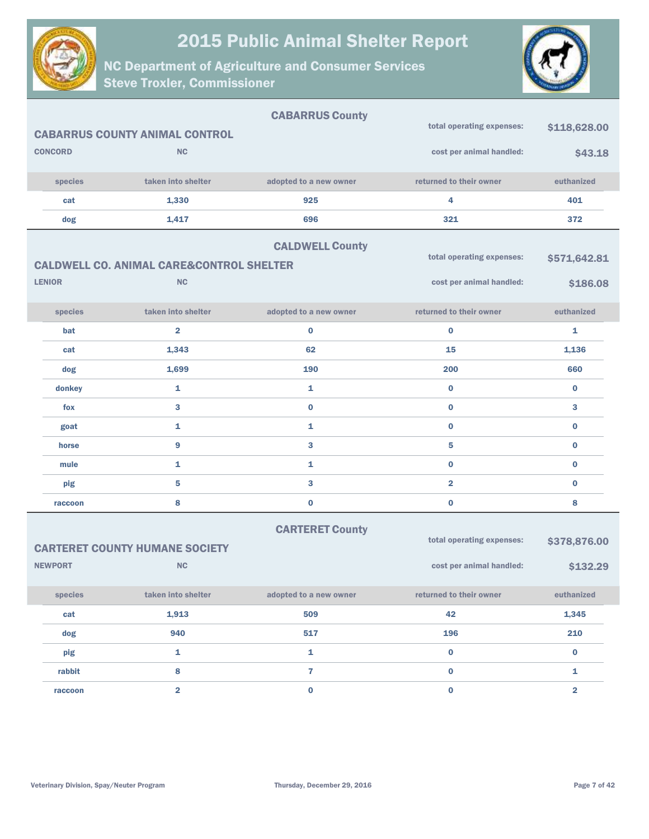

NC Department of Agriculture and Consumer Services Steve Troxler, Commissioner



| <b>CONCORD</b>                                                                                             | <b>CABARRUS COUNTY ANIMAL CONTROL</b><br><b>NC</b> | <b>CABARRUS County</b> | total operating expenses:<br>cost per animal handled: | \$118,628.00<br>\$43.18 |
|------------------------------------------------------------------------------------------------------------|----------------------------------------------------|------------------------|-------------------------------------------------------|-------------------------|
| species                                                                                                    | taken into shelter                                 | adopted to a new owner | returned to their owner                               | euthanized              |
| cat                                                                                                        | 1,330                                              | 925                    | 4                                                     | 401                     |
| dog                                                                                                        | 1,417                                              | 696                    | 321                                                   | 372                     |
| <b>CALDWELL County</b><br>total operating expenses:<br><b>CALDWELL CO. ANIMAL CARE&amp;CONTROL SHELTER</b> |                                                    |                        |                                                       |                         |
| <b>LENIOR</b>                                                                                              | <b>NC</b>                                          |                        | cost per animal handled:                              | \$186.08                |
| species                                                                                                    | taken into shelter                                 | adopted to a new owner | returned to their owner                               | euthanized              |
| bat                                                                                                        | $\overline{\mathbf{2}}$                            | 0                      | 0                                                     | 1                       |
| cat                                                                                                        | 1,343                                              | 62                     | 15                                                    | 1,136                   |
| dog                                                                                                        | 1,699                                              | 190                    | 200                                                   | 660                     |
| donkey                                                                                                     | $\mathbf{1}$                                       | $\mathbf{1}$           | $\bf{0}$                                              | $\bf{0}$                |
| fox                                                                                                        | 3                                                  | $\bf{0}$               | $\bf{0}$                                              | 3                       |
| goat                                                                                                       | $\mathbf{1}$                                       | 1                      | $\mathbf 0$                                           | $\bf{0}$                |
| horse                                                                                                      | 9                                                  | 3                      | 5                                                     | $\bf{0}$                |
| mule                                                                                                       | $\mathbf{1}$                                       | 1                      | $\bf{0}$                                              | $\bf{0}$                |
| pig                                                                                                        | 5                                                  | 3                      | $\overline{\mathbf{2}}$                               | $\bf{0}$                |
| raccoon                                                                                                    | 8                                                  | 0                      | $\mathbf 0$                                           | 8                       |

#### CARTERET County

|                | <b>CARTERET COUNTY HUMANE SOCIETY</b> | total operating expenses: | \$378,876.00             |            |
|----------------|---------------------------------------|---------------------------|--------------------------|------------|
| <b>NEWPORT</b> | NC                                    |                           | cost per animal handled: | \$132.29   |
| species        | taken into shelter                    | adopted to a new owner    | returned to their owner  | euthanized |
| cat            | 1,913                                 | 509                       | 42                       | 1,345      |
| dog            | 940                                   | 517                       | 196                      | 210        |
| pig            | 1                                     | 1                         | $\bf{0}$                 | $\bf{0}$   |
| rabbit         | 8                                     | 5                         | $\bf{0}$                 |            |
| raccoon        | $\overline{2}$                        | 0                         | 0                        | 2          |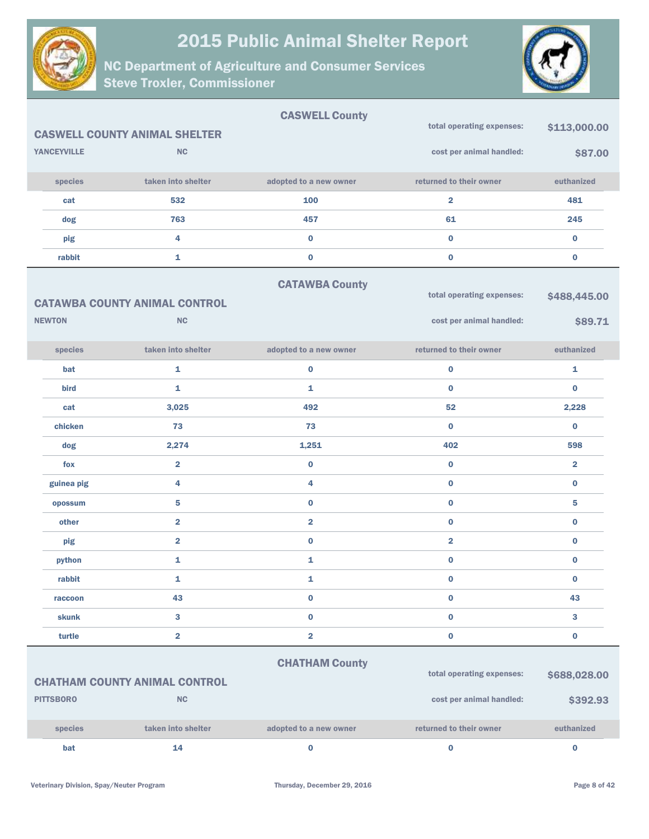



|                    |                                      | <b>CASWELL County</b>   |                           |                |
|--------------------|--------------------------------------|-------------------------|---------------------------|----------------|
|                    | <b>CASWELL COUNTY ANIMAL SHELTER</b> |                         | total operating expenses: | \$113,000.00   |
| <b>YANCEYVILLE</b> | <b>NC</b>                            |                         | cost per animal handled:  | \$87.00        |
| species            | taken into shelter                   | adopted to a new owner  | returned to their owner   | euthanized     |
| cat                | 532                                  | 100                     | $\overline{\mathbf{2}}$   | 481            |
| dog                | 763                                  | 457                     | 61                        | 245            |
| pig                | $\overline{\mathbf{4}}$              | $\bf{0}$                | $\mathbf{0}$              | $\bf{0}$       |
| rabbit             | $\mathbf{1}$                         | $\pmb{0}$               | $\bf{0}$                  | $\bf{0}$       |
|                    |                                      | <b>CATAWBA County</b>   |                           |                |
|                    | <b>CATAWBA COUNTY ANIMAL CONTROL</b> |                         | total operating expenses: | \$488,445.00   |
| <b>NEWTON</b>      | <b>NC</b>                            |                         | cost per animal handled:  | \$89.71        |
| species            | taken into shelter                   | adopted to a new owner  | returned to their owner   | euthanized     |
| bat                | $\mathbf{1}$                         | $\bf{0}$                | $\bf{0}$                  | 1              |
| bird               | $\mathbf{1}$                         | 1                       | $\bf{0}$                  | $\bf{0}$       |
| cat                | 3,025                                | 492                     | 52                        | 2,228          |
| chicken            | 73                                   | 73                      | $\bf{0}$                  | $\bf{0}$       |
| dog                | 2,274                                | 1,251                   | 402                       | 598            |
| fox                | $\overline{2}$                       | $\bf{0}$                | $\bf{0}$                  | $\overline{2}$ |
| guinea pig         | 4                                    | 4                       | $\mathbf 0$               | $\bf{0}$       |
| opossum            | 5                                    | $\bf{0}$                | $\bf{0}$                  | 5              |
| other              | $\overline{2}$                       | $\overline{\mathbf{2}}$ | $\bf{0}$                  | $\bf{0}$       |
| pig                | $\overline{\mathbf{2}}$              | $\bf{0}$                | $\overline{\mathbf{2}}$   | $\bf{0}$       |
| python             | $\mathbf{1}$                         | 1                       | $\mathbf 0$               | $\bf{0}$       |
| rabbit             | 1                                    | 1                       | $\bf{0}$                  | $\bf{0}$       |
| raccoon            | 43                                   | $\bf{0}$                | 0                         | 43             |
| skunk              | 3                                    | $\bf{0}$                | $\mathbf 0$               | 3              |
| turtle             | $\overline{\mathbf{2}}$              | $\overline{\mathbf{2}}$ | $\bf{0}$                  | $\pmb{0}$      |
|                    |                                      | <b>CHATHAM County</b>   |                           |                |
|                    | <b>CHATHAM COUNTY ANIMAL CONTROL</b> |                         | total operating expenses: | \$688,028.00   |
| <b>PITTSBORO</b>   | <b>NC</b>                            |                         | cost per animal handled:  | \$392.93       |
| species            | taken into shelter                   | adopted to a new owner  | returned to their owner   | euthanized     |
| bat                | 14                                   | $\bf{0}$                | 0                         | $\bf{0}$       |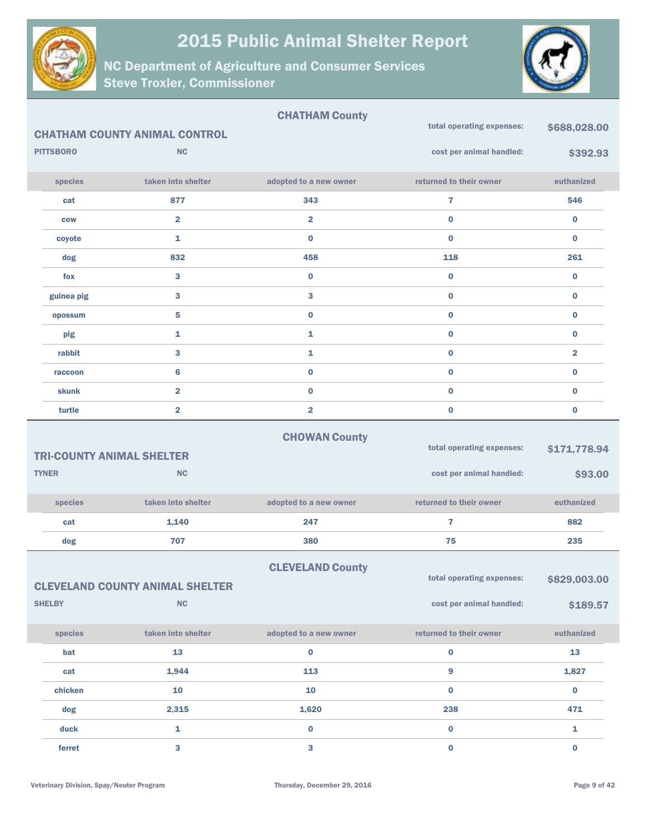



|                  |                                        | <b>CHATHAM County</b>   |                           |                         |
|------------------|----------------------------------------|-------------------------|---------------------------|-------------------------|
|                  | <b>CHATHAM COUNTY ANIMAL CONTROL</b>   |                         | total operating expenses: | \$688,028.00            |
| <b>PITTSBORO</b> | <b>NC</b>                              |                         | cost per animal handled:  | \$392.93                |
| species          | taken into shelter                     | adopted to a new owner  | returned to their owner   | euthanized              |
| cat              | 877                                    | 343                     | $\overline{7}$            | 546                     |
| <b>COW</b>       | $\overline{\mathbf{2}}$                | $\overline{\mathbf{2}}$ | $\bf{0}$                  | $\bf{0}$                |
| coyote           | 1                                      | $\bf{0}$                | $\bf{0}$                  | $\bf{0}$                |
| dog              | 832                                    | 458                     | 118                       | 261                     |
| fox              | 3                                      | $\pmb{0}$               | $\bf{0}$                  | $\bf{0}$                |
| guinea pig       | 3                                      | 3                       | $\bf{0}$                  | $\bf{0}$                |
| opossum          | 5                                      | $\pmb{0}$               | $\bf{0}$                  | $\bf{0}$                |
| pig              | 1                                      | 1                       | $\bf{0}$                  | $\bf{0}$                |
| rabbit           | 3                                      | 1                       | $\bf{0}$                  | $\overline{\mathbf{2}}$ |
| raccoon          | $6\phantom{1}$                         | $\bf{0}$                | $\bf{0}$                  | $\bf{0}$                |
| <b>skunk</b>     | $\overline{\mathbf{2}}$                | $\bf{0}$                | $\bf{0}$                  | $\bf{0}$                |
| turtle           | $\overline{\mathbf{2}}$                | $\overline{2}$          | $\bf{0}$                  | $\bf{0}$                |
|                  |                                        | <b>CHOWAN County</b>    |                           |                         |
|                  | <b>TRI-COUNTY ANIMAL SHELTER</b>       |                         | total operating expenses: | \$171,778.94            |
| <b>TYNER</b>     | <b>NC</b>                              |                         | cost per animal handled:  | \$93.00                 |
|                  |                                        |                         |                           |                         |
| species          | taken into shelter                     | adopted to a new owner  | returned to their owner   | euthanized              |
| cat              | 1,140                                  | 247                     | $\overline{7}$            | 882                     |
| dog              | 707                                    | 380                     | 75                        | 235                     |
|                  |                                        | <b>CLEVELAND County</b> |                           |                         |
|                  | <b>CLEVELAND COUNTY ANIMAL SHELTER</b> |                         | total operating expenses: | \$829,003.00            |
| <b>SHELBY</b>    | <b>NC</b>                              |                         | cost per animal handled:  | \$189.57                |
| species          | taken into shelter                     | adopted to a new owner  | returned to their owner   | euthanized              |
| bat              | 13                                     | $\bf{0}$                | $\pmb{0}$                 | 13                      |
| cat              | 1,944                                  | 113                     | 9                         | 1,827                   |
| chicken          | 10                                     | 10                      | $\mathbf 0$               | $\mathbf 0$             |
| dog              | 2,315                                  | 1,620                   | 238                       | 471                     |
| duck             | $\mathbf 1$                            | $\bf{0}$                | $\mathbf 0$               | $\mathbf{1}$            |
| ferret           | $\overline{\mathbf{3}}$                | $\overline{\mathbf{3}}$ | $\pmb{0}$                 | $\mathbf 0$             |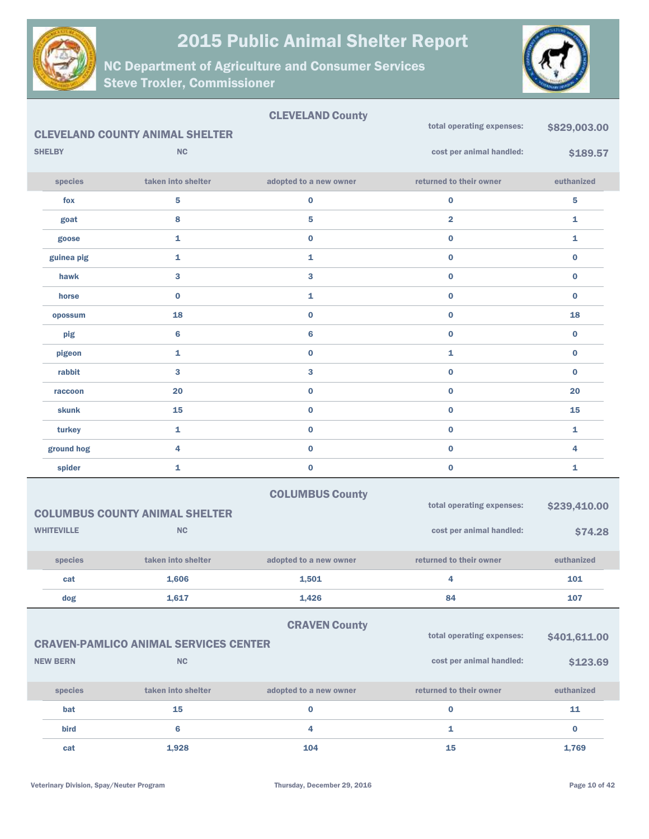

NC Department of Agriculture and Consumer Services Steve Troxler, Commissioner



#### CLEVELAND County CLEVELAND COUNTY ANIMAL SHELTER SHELBY NC species taken into shelter adopted to a new owner returned to their owner euthanized total operating expenses: \$829,003,00 cost per animal handled: \$189.57 fox  $5$  5 0 0 0 0 5 goat  $\qquad \qquad 8 \qquad \qquad 5 \qquad \qquad 2 \qquad \qquad 1$ goose 1 0 0 1 guinea pig 1 1 0 0 hawk 3 3 0 0 horse 0 1 0 0 opossum and the contract of  $\sim$  0  $\sim$  0  $\sim$  0  $\sim$  18  $\sim$  18 pig 6 6 0 0 pigeon 1 0 1 0 rabbit 3 3 0 0 raccoon  $20$   $0$   $0$   $0$   $20$ skunk 15 0 0 15 turkey 1 0 0 1 ground hog  $\begin{array}{ccccccc} & 4 & & & 0 & & & 0 & & 0 \end{array}$ spider the contract of  $\begin{array}{ccc} 1 & 0 & 0 & 0 \end{array}$ COLUMBUS County COLUMBUS COUNTY ANIMAL SHELTER WHITEVILLE NC species taken into shelter adopted to a new owner returned to their owner euthanized total operating expenses: \$239,410.00 cost per animal handled: \$74.28 cat 1,606 1,501 4 101 dog 1,617 1,426 84 107

#### CRAVEN County

| <b>CRAVEN-PAMLICO ANIMAL SERVICES CENTER</b> |  |  |
|----------------------------------------------|--|--|
|                                              |  |  |

| <b>NEW BERN</b> | NC                 |                        | cost per animal handled: | \$123.69   |
|-----------------|--------------------|------------------------|--------------------------|------------|
| <b>species</b>  | taken into shelter | adopted to a new owner | returned to their owner  | euthanized |
| bat             | 15                 |                        |                          | 11         |
| <b>bird</b>     |                    |                        |                          | $\bf{0}$   |
| cat             | 1,928              | 104                    | 15                       | 1,769      |

total operating expenses: \$401,611.00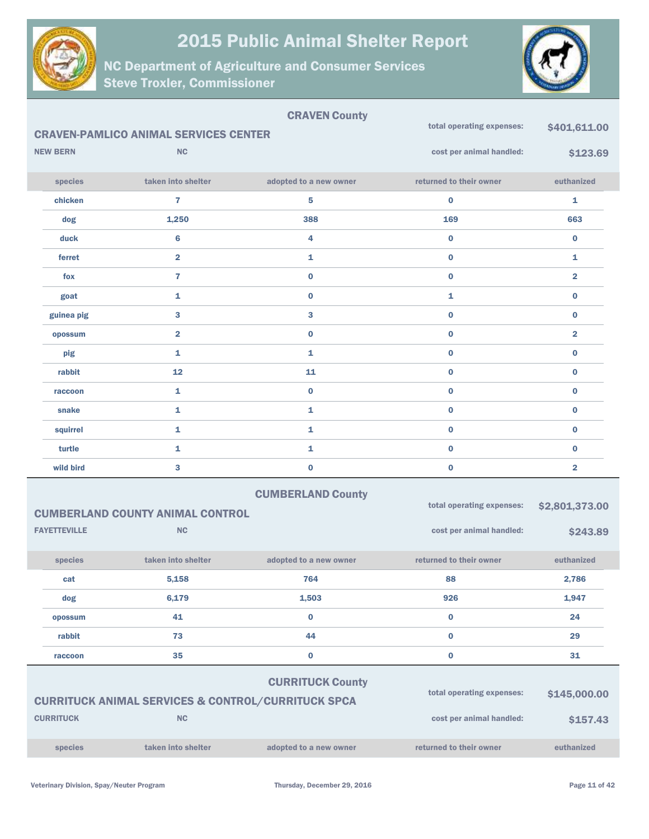



|                     |                                                               | <b>CRAVEN County</b>      |                           |                |
|---------------------|---------------------------------------------------------------|---------------------------|---------------------------|----------------|
|                     | <b>CRAVEN-PAMLICO ANIMAL SERVICES CENTER</b>                  |                           | total operating expenses: | \$401,611.00   |
| <b>NEW BERN</b>     | <b>NC</b>                                                     |                           | cost per animal handled:  | \$123.69       |
| species             | taken into shelter                                            | adopted to a new owner    | returned to their owner   | euthanized     |
| chicken             | $\overline{7}$                                                | 5                         | $\bf{0}$                  | 1              |
| dog                 | 1,250                                                         | 388                       | 169                       | 663            |
| duck                | $6\phantom{1}$                                                | 4                         | $\bf{0}$                  | $\bf{0}$       |
| ferret              | $\overline{\mathbf{2}}$                                       | 1                         | $\bf{0}$                  | 1              |
| fox                 | $\overline{7}$                                                | $\bf{0}$                  | $\bf{0}$                  | $\overline{2}$ |
| goat                | 1                                                             | $\bf{0}$                  | 1                         | $\bf{0}$       |
| guinea pig          | 3                                                             | 3                         | $\bf{0}$                  | $\bf{0}$       |
| opossum             | $\overline{\mathbf{2}}$                                       | $\bf{0}$                  | $\bf{0}$                  | $\overline{2}$ |
| pig                 | 1                                                             | 1                         | $\bf{0}$                  | $\bf{0}$       |
| rabbit              | 12                                                            | 11                        | $\bf{0}$                  | $\bf{0}$       |
| raccoon             | 1                                                             | $\bf{0}$                  | $\bf{0}$                  | $\bf{0}$       |
| snake               | $\mathbf{1}$                                                  | $\mathbf{1}$              | $\bf{0}$                  | $\bf{0}$       |
| squirrel            | 1                                                             | 1                         | $\bf{0}$                  | $\bf{0}$       |
| turtle              | 1                                                             | 1                         | $\bf{0}$                  | $\bf{0}$       |
| wild bird           | 3                                                             | $\bf{0}$                  | $\bf{0}$                  | $\overline{2}$ |
|                     |                                                               | <b>CUMBERLAND County</b>  |                           |                |
|                     | <b>CUMBERLAND COUNTY ANIMAL CONTROL</b>                       |                           | total operating expenses: | \$2,801,373.00 |
| <b>FAYETTEVILLE</b> | <b>NC</b>                                                     |                           | cost per animal handled:  | \$243.89       |
| species             | taken into shelter                                            | adopted to a new owner    | returned to their owner   | euthanized     |
| cat                 | 5,158                                                         | 764                       | 88                        | 2,786          |
| dog                 | 6,179                                                         | 1,503                     | 926                       | 1,947          |
| opossum             | 41                                                            | $\bf{0}$                  | $\bf{0}$                  | 24             |
| rabbit              | 73                                                            | 44                        | $\mathbf 0$               | 29             |
| raccoon             | 35                                                            | $\bf{0}$                  | $\pmb{0}$                 | 31             |
|                     |                                                               | <b>CURRITUCK County</b>   |                           |                |
|                     | <b>CURRITUCK ANIMAL SERVICES &amp; CONTROL/CURRITUCK SPCA</b> | total operating expenses: | \$145,000.00              |                |
| <b>CURRITUCK</b>    | <b>NC</b>                                                     |                           | cost per animal handled:  | \$157.43       |
| species             | taken into shelter                                            | adopted to a new owner    | returned to their owner   | euthanized     |
|                     |                                                               |                           |                           |                |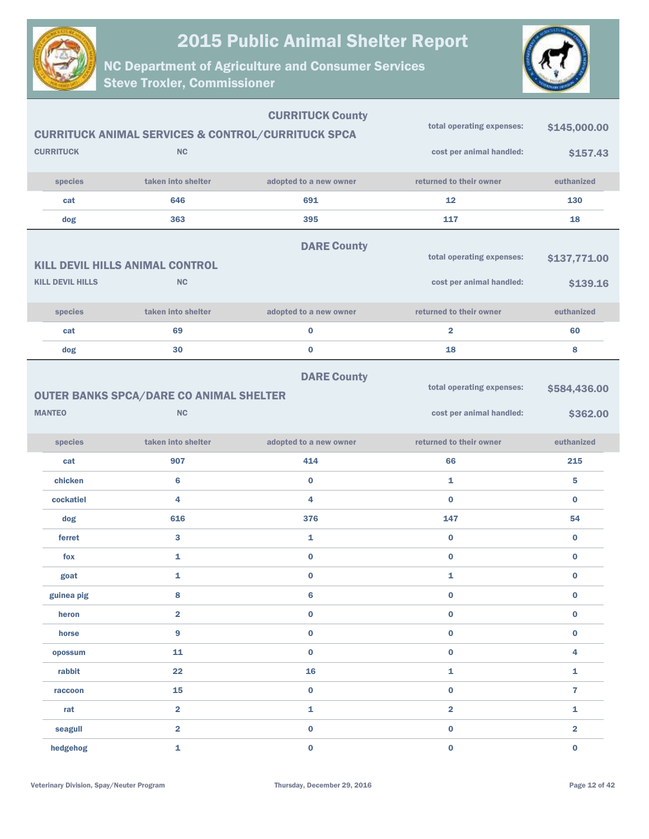



|                         |                                                               | <b>CURRITUCK County</b> | total operating expenses: | \$145,000.00   |
|-------------------------|---------------------------------------------------------------|-------------------------|---------------------------|----------------|
|                         | <b>CURRITUCK ANIMAL SERVICES &amp; CONTROL/CURRITUCK SPCA</b> |                         |                           |                |
| <b>CURRITUCK</b>        | <b>NC</b>                                                     |                         | cost per animal handled:  | \$157.43       |
| species                 | taken into shelter                                            | adopted to a new owner  | returned to their owner   | euthanized     |
| cat                     | 646                                                           | 691                     | 12                        | 130            |
| dog                     | 363                                                           | 395                     | 117                       | 18             |
|                         |                                                               | <b>DARE County</b>      |                           |                |
|                         | <b>KILL DEVIL HILLS ANIMAL CONTROL</b>                        |                         | total operating expenses: | \$137,771.00   |
| <b>KILL DEVIL HILLS</b> | NC                                                            |                         | cost per animal handled:  | \$139.16       |
| species                 | taken into shelter                                            | adopted to a new owner  | returned to their owner   | euthanized     |
| cat                     | 69                                                            | $\bf{0}$                | $\overline{2}$            | 60             |
| dog                     | 30                                                            | $\bf{0}$                | 18                        | 8              |
|                         |                                                               | <b>DARE County</b>      |                           |                |
|                         | <b>OUTER BANKS SPCA/DARE CO ANIMAL SHELTER</b>                |                         | total operating expenses: | \$584,436.00   |
| <b>MANTEO</b>           | NC                                                            |                         | cost per animal handled:  | \$362.00       |
|                         |                                                               |                         |                           |                |
| species                 | taken into shelter                                            | adopted to a new owner  | returned to their owner   | euthanized     |
| cat                     | 907                                                           | 414                     | 66                        | 215            |
|                         |                                                               |                         |                           |                |
| chicken                 | 6                                                             | $\bf{0}$                | $\mathbf{1}$              | 5              |
| cockatiel               | 4                                                             | 4                       | $\bf{0}$                  | $\bf{0}$       |
| dog                     | 616                                                           | 376                     | 147                       | 54             |
| ferret                  | 3                                                             | 1                       | $\bf{0}$                  | $\bf{0}$       |
| fox                     | $\mathbf{1}$                                                  | $\bf{0}$                | $\bf{0}$                  | $\bf{0}$       |
| goat                    | 1                                                             | $\bf{0}$                | 1                         | $\bf{0}$       |
| guinea pig              | 8                                                             | $\bf 6$                 | $\bf{0}$                  | $\bf{0}$       |
| heron                   | $\overline{2}$                                                | $\pmb{0}$               | $\bf{0}$                  | $\bf{0}$       |
| horse                   | $\overline{9}$                                                | $\pmb{0}$               | $\pmb{0}$                 | $\bf{0}$       |
| opossum                 | 11                                                            | $\pmb{0}$               | $\mathbf 0$               | 4              |
| rabbit                  | 22                                                            | 16                      | $\mathbf{1}$              | $\mathbf{1}$   |
| raccoon                 | 15                                                            | $\pmb{0}$               | $\pmb{0}$                 | $\overline{7}$ |
| rat                     | $\overline{\mathbf{2}}$                                       | $\mathbf 1$             | $\overline{\mathbf{2}}$   | $\mathbf{1}$   |
| seagull                 | $\overline{\mathbf{2}}$                                       | $\pmb{0}$               | $\mathbf 0$               | $\mathbf 2$    |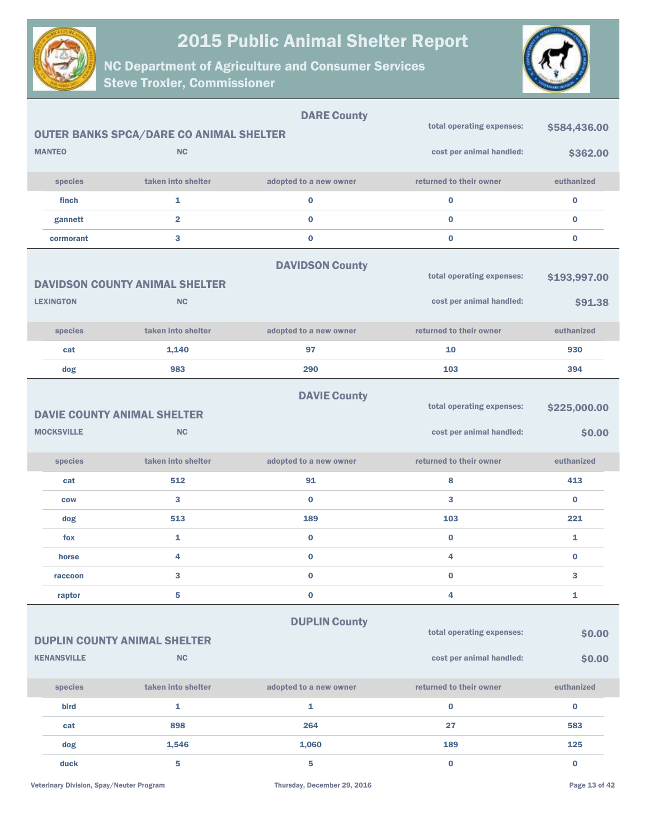



|                    |                                                | <b>DARE County</b>     |                           |              |
|--------------------|------------------------------------------------|------------------------|---------------------------|--------------|
|                    | <b>OUTER BANKS SPCA/DARE CO ANIMAL SHELTER</b> |                        | total operating expenses: | \$584,436.00 |
| <b>MANTEO</b>      | <b>NC</b>                                      |                        | cost per animal handled:  | \$362.00     |
| species            | taken into shelter                             | adopted to a new owner | returned to their owner   | euthanized   |
| finch              | 1                                              | 0                      | $\bf{0}$                  | $\bf{0}$     |
| gannett            | $\overline{2}$                                 | $\mathbf 0$            | $\bf{0}$                  | $\bf{0}$     |
| cormorant          | 3                                              | 0                      | $\bf{0}$                  | $\bf{0}$     |
|                    | <b>DAVIDSON COUNTY ANIMAL SHELTER</b>          | <b>DAVIDSON County</b> | total operating expenses: | \$193,997.00 |
| <b>LEXINGTON</b>   | <b>NC</b>                                      |                        | cost per animal handled:  | \$91.38      |
| species            | taken into shelter                             | adopted to a new owner | returned to their owner   | euthanized   |
| cat                | 1,140                                          | 97                     | 10                        | 930          |
| dog                | 983                                            | 290                    | 103                       | 394          |
|                    | <b>DAVIE COUNTY ANIMAL SHELTER</b>             | <b>DAVIE County</b>    | total operating expenses: | \$225,000.00 |
| <b>MOCKSVILLE</b>  | <b>NC</b>                                      |                        | cost per animal handled:  | \$0.00       |
| species            | taken into shelter                             | adopted to a new owner | returned to their owner   | euthanized   |
| cat                | 512                                            | 91                     | 8                         | 413          |
| <b>COW</b>         | 3                                              | $\bf{0}$               | 3                         | $\bf{0}$     |
| dog                | 513                                            | 189                    | 103                       | 221          |
| fox                | 1                                              | 0                      | $\bf{0}$                  | 1            |
| horse              | 4                                              | $\bf{0}$               | 4                         | $\bf{0}$     |
| raccoon            | 3                                              | $\bf{0}$               | $\bf{0}$                  | 3            |
| raptor             | 5                                              | 0                      | 4                         | 1            |
|                    | <b>DUPLIN COUNTY ANIMAL SHELTER</b>            | <b>DUPLIN County</b>   | total operating expenses: | \$0.00       |
| <b>KENANSVILLE</b> | NC                                             |                        | cost per animal handled:  | \$0.00       |
| species            | taken into shelter                             | adopted to a new owner | returned to their owner   | euthanized   |
| bird               | 1                                              | 1                      | $\bf{0}$                  | $\pmb{0}$    |
| cat                | 898                                            | 264                    | 27                        | 583          |
| dog                | 1,546                                          | 1,060                  | 189                       | 125          |
| duck               | 5                                              | 5                      | $\bf{0}$                  | $\pmb{0}$    |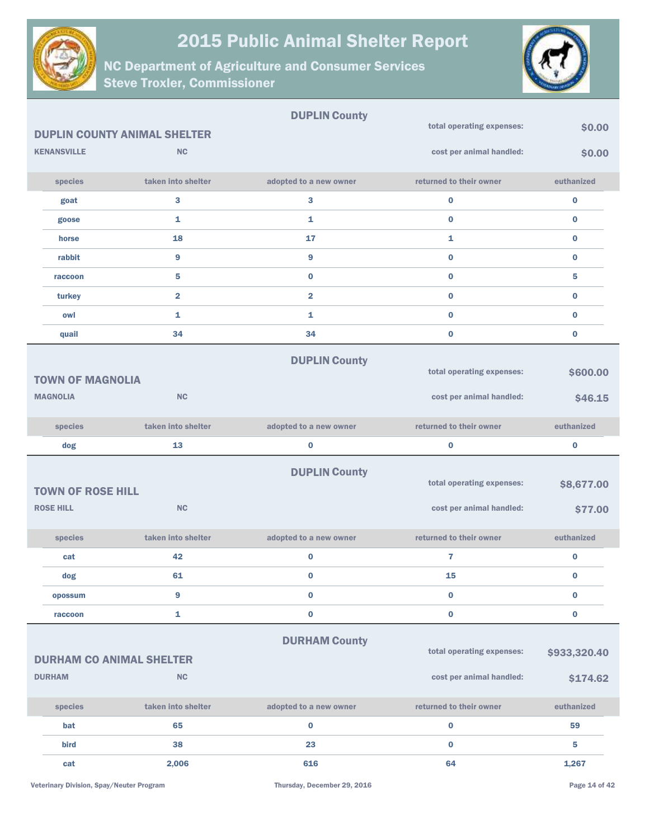



|                                 |                                     | <b>DUPLIN County</b>   |                           |              |
|---------------------------------|-------------------------------------|------------------------|---------------------------|--------------|
|                                 | <b>DUPLIN COUNTY ANIMAL SHELTER</b> |                        | total operating expenses: | \$0.00       |
| <b>KENANSVILLE</b>              | <b>NC</b>                           |                        | cost per animal handled:  | \$0.00       |
| species                         | taken into shelter                  | adopted to a new owner | returned to their owner   | euthanized   |
| goat                            | 3                                   | 3                      | 0                         | $\bf{0}$     |
| goose                           | 1                                   | 1                      | $\mathbf{0}$              | $\bf{0}$     |
| horse                           | 18                                  | 17                     | $\mathbf{1}$              | $\bf{0}$     |
| rabbit                          | 9                                   | 9                      | $\bf{0}$                  | $\bf{0}$     |
| raccoon                         | 5                                   | $\bf{0}$               | $\mathbf{0}$              | 5            |
| turkey                          | $\overline{2}$                      | $\overline{2}$         | $\mathbf 0$               | $\bf{0}$     |
| owl                             | 1                                   | 1                      | $\mathbf{0}$              | $\bf{0}$     |
| quail                           | 34                                  | 34                     | $\mathbf 0$               | 0            |
|                                 |                                     | <b>DUPLIN County</b>   |                           |              |
| <b>TOWN OF MAGNOLIA</b>         |                                     |                        | total operating expenses: | \$600.00     |
| <b>MAGNOLIA</b>                 | <b>NC</b>                           |                        | cost per animal handled:  | \$46.15      |
| species                         | taken into shelter                  | adopted to a new owner | returned to their owner   | euthanized   |
| dog                             | 13                                  | $\bf{0}$               | 0                         | $\bf{0}$     |
|                                 |                                     | <b>DUPLIN County</b>   |                           |              |
| <b>TOWN OF ROSE HILL</b>        |                                     |                        | total operating expenses: | \$8,677.00   |
| <b>ROSE HILL</b>                | <b>NC</b>                           |                        | cost per animal handled:  | \$77.00      |
| species                         | taken into shelter                  | adopted to a new owner | returned to their owner   | euthanized   |
| cat                             | 42                                  | 0                      | 7                         | $\bf{0}$     |
| dog                             | 61                                  | $\bf{0}$               | 15                        | 0            |
| opossum                         | 9                                   | $\bf{0}$               | 0                         | $\bf{0}$     |
| raccoon                         | 1                                   | $\bf{0}$               | $\bf{0}$                  | $\bf{0}$     |
|                                 |                                     | <b>DURHAM County</b>   |                           |              |
| <b>DURHAM CO ANIMAL SHELTER</b> |                                     |                        | total operating expenses: | \$933,320.40 |
| <b>DURHAM</b>                   | NC                                  |                        | cost per animal handled:  | \$174.62     |
|                                 |                                     |                        |                           |              |
| species                         | taken into shelter                  | adopted to a new owner | returned to their owner   | euthanized   |
| bat                             | 65                                  | $\bf{0}$               | $\bf{0}$                  | 59           |
| bird                            | 38                                  | 23                     | 0                         | 5            |
|                                 | 2,006                               |                        |                           | 1,267        |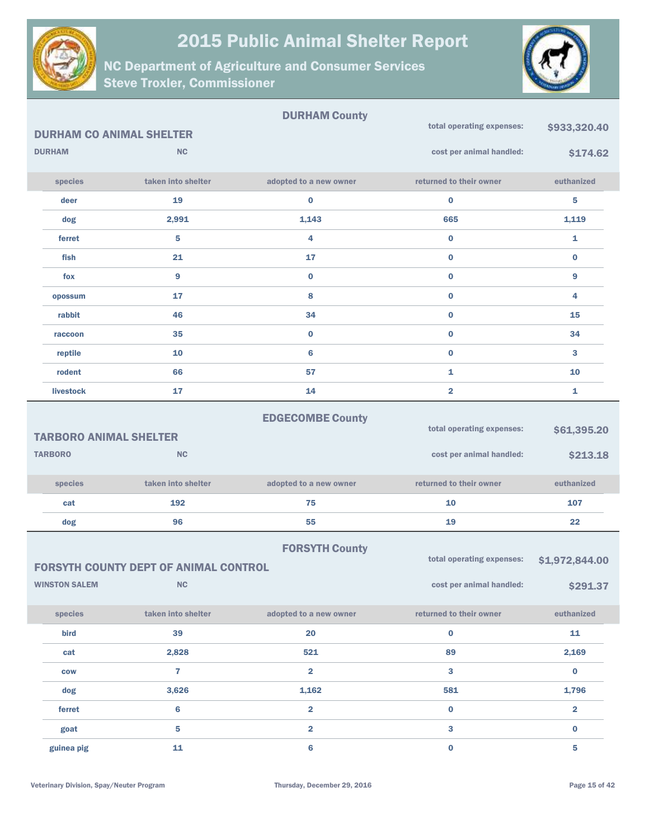



|                               |                                              | <b>DURHAM County</b>    |                           |                         |
|-------------------------------|----------------------------------------------|-------------------------|---------------------------|-------------------------|
|                               | <b>DURHAM CO ANIMAL SHELTER</b>              |                         | total operating expenses: | \$933,320.40            |
| <b>DURHAM</b>                 | <b>NC</b>                                    |                         | cost per animal handled:  | \$174.62                |
| species                       | taken into shelter                           | adopted to a new owner  | returned to their owner   | euthanized              |
| deer                          | 19                                           | $\bf{0}$                | $\bf{0}$                  | 5                       |
| dog                           | 2,991                                        | 1,143                   | 665                       | 1,119                   |
| ferret                        | 5                                            | 4                       | $\bf{0}$                  | $\mathbf{1}$            |
| fish                          | 21                                           | 17                      | $\bf{0}$                  | $\bf{0}$                |
| fox                           | 9                                            | $\bf{0}$                | $\bf{0}$                  | 9                       |
| opossum                       | 17                                           | 8                       | $\bf{0}$                  | 4                       |
| rabbit                        | 46                                           | 34                      | $\bf{0}$                  | 15                      |
| raccoon                       | 35                                           | $\bf{0}$                | $\bf{0}$                  | 34                      |
| reptile                       | 10                                           | 6                       | $\bf{0}$                  | 3                       |
| rodent                        | 66                                           | 57                      | $\mathbf{1}$              | 10                      |
| livestock                     | 17                                           | 14                      | $\overline{\mathbf{2}}$   | 1                       |
| <b>TARBORO ANIMAL SHELTER</b> |                                              | <b>EDGECOMBE County</b> | total operating expenses: | \$61,395.20             |
| <b>TARBORO</b>                | <b>NC</b>                                    |                         | cost per animal handled:  | \$213.18                |
| species                       | taken into shelter                           | adopted to a new owner  | returned to their owner   | euthanized              |
| cat                           | 192                                          | 75                      | 10                        | 107                     |
| dog                           | 96                                           | 55                      | 19                        | 22                      |
|                               | <b>FORSYTH COUNTY DEPT OF ANIMAL CONTROL</b> | <b>FORSYTH County</b>   | total operating expenses: | \$1,972,844.00          |
| <b>WINSTON SALEM</b>          | ${\sf NC}$                                   |                         | cost per animal handled:  | \$291.37                |
| species                       | taken into shelter                           | adopted to a new owner  | returned to their owner   | euthanized              |
| bird                          | 39                                           | 20                      | $\pmb{0}$                 | 11                      |
| cat                           | 2,828                                        | 521                     | 89                        | 2,169                   |
| <b>COW</b>                    | $\overline{7}$                               | $\overline{\mathbf{2}}$ | $\mathbf{3}$              | $\bf{0}$                |
| dog                           | 3,626                                        | 1,162                   | 581                       | 1,796                   |
| ferret                        | $\bf 6$                                      | $\overline{\mathbf{2}}$ | $\mathbf 0$               | $\overline{\mathbf{2}}$ |
| goat                          | $\overline{\mathbf{5}}$                      | $\overline{\mathbf{2}}$ | $\mathbf{3}$              | $\mathbf 0$             |
| guinea pig                    | 11                                           | $\boldsymbol{6}$        | $\mathbf 0$               | $\overline{\mathbf{5}}$ |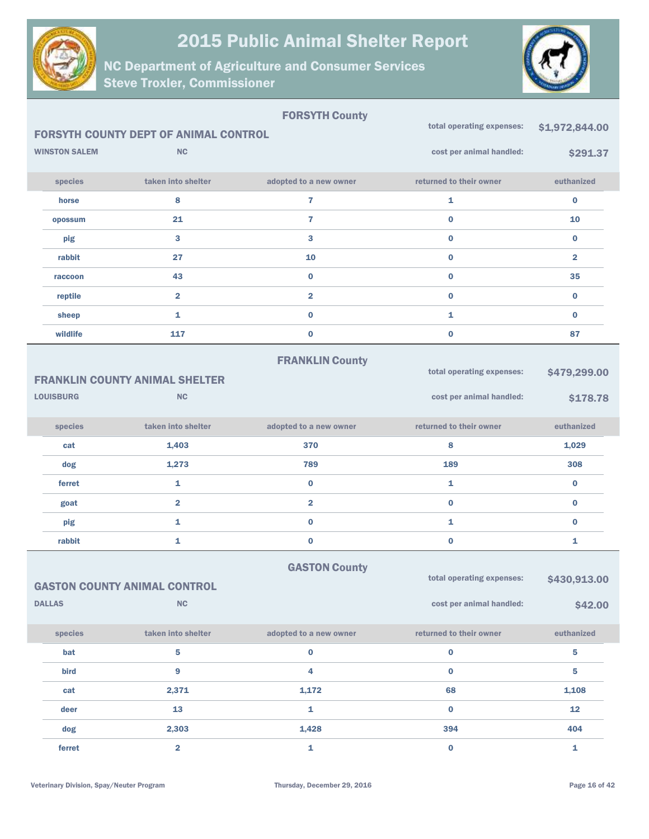



|                      |                                              | <b>FORSYTH County</b>   |                                                       |                         |
|----------------------|----------------------------------------------|-------------------------|-------------------------------------------------------|-------------------------|
|                      | <b>FORSYTH COUNTY DEPT OF ANIMAL CONTROL</b> |                         | total operating expenses:                             | \$1,972,844.00          |
| <b>WINSTON SALEM</b> | <b>NC</b>                                    |                         | cost per animal handled:                              | \$291.37                |
| species              | taken into shelter                           | adopted to a new owner  | returned to their owner                               | euthanized              |
| horse                | 8                                            | $\overline{\mathbf{r}}$ | 1                                                     | $\pmb{0}$               |
| opossum              | 21                                           | $\overline{7}$          | $\bf{0}$                                              | 10                      |
| pig                  | 3                                            | 3                       | $\bf{0}$                                              | $\bf{0}$                |
| rabbit               | 27                                           | 10                      | $\bf{0}$                                              | $\overline{\mathbf{2}}$ |
| raccoon              | 43                                           | $\bf{0}$                | $\bf{0}$                                              | 35                      |
| reptile              | $\overline{\mathbf{2}}$                      | $\overline{\mathbf{2}}$ | $\bf{0}$                                              | $\bf{0}$                |
| sheep                | $\mathbf{1}$                                 | $\bf{0}$                | 1                                                     | $\bf{0}$                |
| wildlife             | 117                                          | $\pmb{0}$               | $\bf{0}$                                              | 87                      |
|                      | <b>FRANKLIN COUNTY ANIMAL SHELTER</b>        | <b>FRANKLIN County</b>  | total operating expenses:                             | \$479,299.00            |
| <b>LOUISBURG</b>     | <b>NC</b>                                    |                         | cost per animal handled:                              | \$178.78                |
| species              | taken into shelter                           | adopted to a new owner  | returned to their owner                               | euthanized              |
| cat                  | 1,403                                        | 370                     | 8                                                     | 1,029                   |
| dog                  | 1,273                                        | 789                     | 189                                                   | 308                     |
| ferret               | $\mathbf{1}$                                 | $\bf{0}$                | 1                                                     | $\bf{0}$                |
| goat                 | $\overline{2}$                               | $\overline{\mathbf{2}}$ | $\bf{0}$                                              | $\bf{0}$                |
| pig                  | 1                                            | $\bf{0}$                | 1                                                     | $\bf{0}$                |
| rabbit               | 1                                            | $\bf{0}$                | $\bf{0}$                                              | 1                       |
| <b>DALLAS</b>        | <b>GASTON COUNTY ANIMAL CONTROL</b><br>NC    | <b>GASTON County</b>    | total operating expenses:<br>cost per animal handled: | \$430,913.00<br>\$42.00 |
|                      |                                              |                         |                                                       |                         |
| species              | taken into shelter                           | adopted to a new owner  | returned to their owner                               | euthanized              |
| bat                  | 5                                            | $\bf{0}$                | $\mathbf 0$                                           | ${\bf 5}$               |
| bird                 | 9                                            | 4                       | $\bf{0}$                                              | 5                       |
| cat                  | 2,371                                        | 1,172                   | 68                                                    | 1,108                   |
| deer                 | 13                                           | 1                       | $\bf{0}$                                              | 12                      |
| dog                  | 2,303                                        | 1,428                   | 394                                                   | 404                     |
| ferret               | $\overline{\mathbf{2}}$                      | $\mathbf{1}$            | $\mathbf 0$                                           | $\mathbf{1}$            |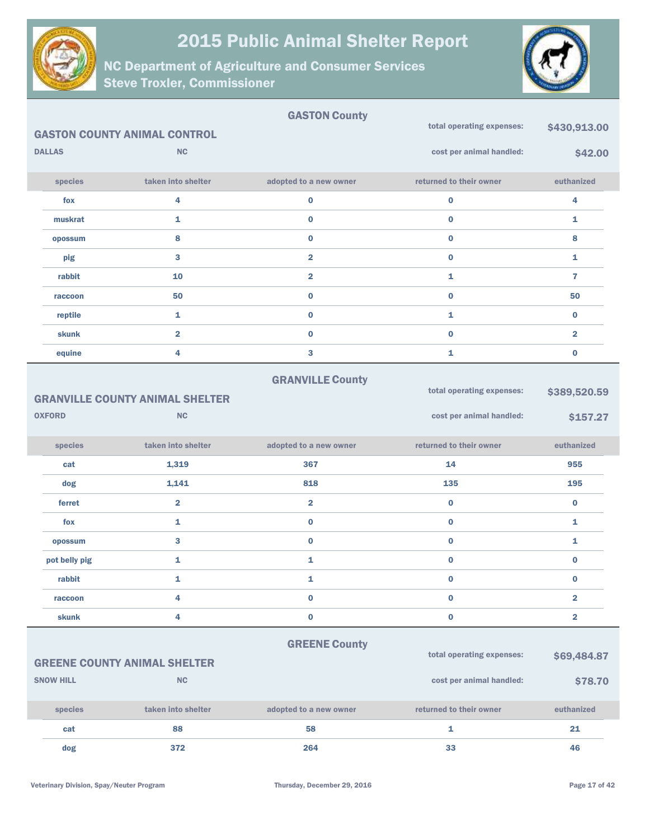



|                  |                                                  | <b>GASTON County</b>    | total operating expenses: | \$430,913.00            |
|------------------|--------------------------------------------------|-------------------------|---------------------------|-------------------------|
|                  | <b>GASTON COUNTY ANIMAL CONTROL</b>              |                         |                           |                         |
| <b>DALLAS</b>    | <b>NC</b>                                        |                         | cost per animal handled:  | \$42.00                 |
| species          | taken into shelter                               | adopted to a new owner  | returned to their owner   | euthanized              |
| fox              | 4                                                | $\bf{0}$                | $\bf{0}$                  | 4                       |
| muskrat          | 1                                                | $\bf{0}$                | $\bf{0}$                  | 1                       |
| opossum          | 8                                                | $\bf{0}$                | $\bf{0}$                  | 8                       |
| pig              | 3                                                | $\overline{\mathbf{2}}$ | $\bf{0}$                  | 1                       |
| rabbit           | 10                                               | $\overline{\mathbf{2}}$ | 1                         | $\overline{7}$          |
| raccoon          | 50                                               | $\bf{0}$                | $\bf{0}$                  | 50                      |
| reptile          | 1                                                | $\bf{0}$                | 1                         | $\bf{0}$                |
| skunk            | $\overline{2}$                                   | $\bf{0}$                | $\bf{0}$                  | $\overline{\mathbf{2}}$ |
| equine           | 4                                                | 3                       | 1                         | $\bf{0}$                |
|                  |                                                  | <b>GRANVILLE County</b> |                           |                         |
|                  | <b>GRANVILLE COUNTY ANIMAL SHELTER</b>           |                         | total operating expenses: | \$389,520.59            |
| <b>OXFORD</b>    | <b>NC</b>                                        |                         | cost per animal handled:  | \$157.27                |
|                  |                                                  |                         |                           |                         |
| species          | taken into shelter                               | adopted to a new owner  | returned to their owner   | euthanized              |
| cat              | 1,319                                            | 367                     | 14                        | 955                     |
| dog              | 1,141                                            | 818                     | 135                       | 195                     |
| ferret           | $\overline{\mathbf{2}}$                          | $\overline{\mathbf{2}}$ | $\bf{0}$                  | $\pmb{0}$               |
| fox              | 1                                                | $\bf{0}$                | $\pmb{0}$                 | 1                       |
| opossum          | 3                                                | $\bf{0}$                | $\bf{0}$                  | 1                       |
| pot belly pig    | 1                                                | $\mathbf{1}$            | $\pmb{0}$                 | $\bf{0}$                |
| rabbit           | 1                                                | 1                       | 0                         | $\bf{0}$                |
| raccoon          | 4                                                | $\bf{0}$                | $\bf{0}$                  | $\overline{\mathbf{2}}$ |
| <b>skunk</b>     | 4                                                | $\bf{0}$                | $\bf{0}$                  | $\overline{2}$          |
|                  |                                                  |                         |                           |                         |
|                  |                                                  | <b>GREENE County</b>    | total operating expenses: | \$69,484.87             |
| <b>SNOW HILL</b> | <b>GREENE COUNTY ANIMAL SHELTER</b><br><b>NC</b> |                         |                           |                         |
|                  |                                                  |                         | cost per animal handled:  | \$78.70                 |
| species          | taken into shelter                               | adopted to a new owner  | returned to their owner   | euthanized              |
| cat              | 88                                               | 58                      | $\mathbf{1}$              | 21                      |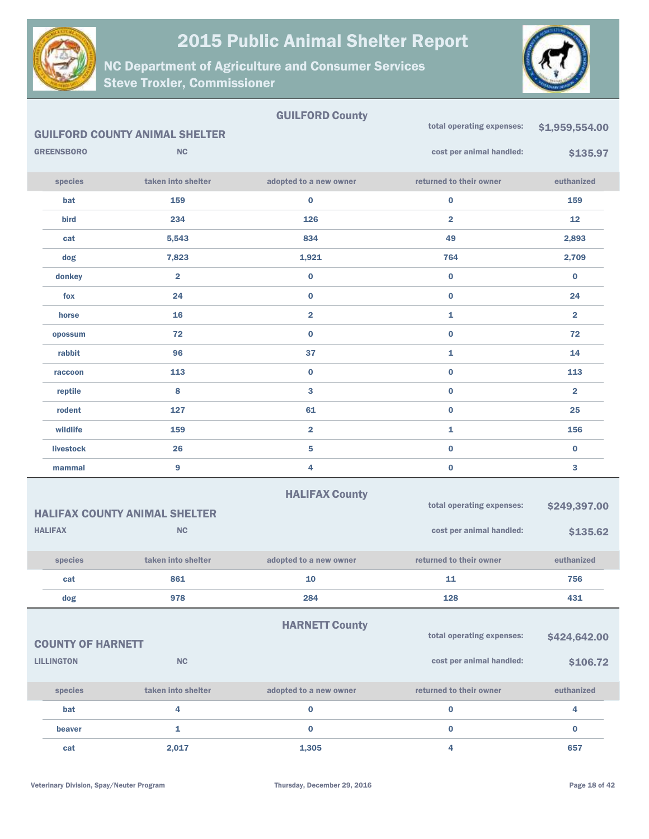



|                          |                                       | <b>GUILFORD County</b>    |                           |                |
|--------------------------|---------------------------------------|---------------------------|---------------------------|----------------|
|                          | <b>GUILFORD COUNTY ANIMAL SHELTER</b> |                           | total operating expenses: | \$1,959,554.00 |
| <b>GREENSBORO</b>        | <b>NC</b>                             |                           | cost per animal handled:  | \$135.97       |
| species                  | taken into shelter                    | adopted to a new owner    | returned to their owner   | euthanized     |
| bat                      | 159                                   | 0                         | $\bf{0}$                  | 159            |
| bird                     | 234                                   | 126                       | $\overline{\mathbf{2}}$   | 12             |
| cat                      | 5,543                                 | 834                       | 49                        | 2,893          |
| dog                      | 7,823                                 | 1,921                     | 764                       | 2,709          |
| donkey                   | $\overline{2}$                        | $\bf{0}$                  | $\bf{0}$                  | $\bf{0}$       |
| fox                      | 24                                    | $\bf{0}$                  | $\bf{0}$                  | 24             |
| horse                    | 16                                    | $\overline{\mathbf{2}}$   | 1                         | $\overline{2}$ |
| opossum                  | 72                                    | $\bf{0}$                  | $\bf{0}$                  | 72             |
| rabbit                   | 96                                    | 37                        | $\mathbf{1}$              | 14             |
| raccoon                  | 113                                   | $\bf{0}$                  | $\bf{0}$                  | 113            |
| reptile                  | 8                                     | 3                         | $\bf{0}$                  | $\overline{2}$ |
| rodent                   | 127                                   | 61                        | $\bf{0}$                  | 25             |
| wildlife                 | 159                                   | $\overline{2}$            | $\mathbf{1}$              | 156            |
| <b>livestock</b>         | 26                                    | 5                         | $\bf{0}$                  | $\bf{0}$       |
| mammal                   | 9                                     | 4                         | $\bf{0}$                  | 3              |
|                          |                                       | <b>HALIFAX County</b>     |                           |                |
|                          | <b>HALIFAX COUNTY ANIMAL SHELTER</b>  |                           | total operating expenses: | \$249,397.00   |
| <b>HALIFAX</b>           | <b>NC</b>                             |                           | cost per animal handled:  | \$135.62       |
| species                  | taken into shelter                    | adopted to a new owner    | returned to their owner   | euthanized     |
| cat                      | 861                                   | 10                        | 11                        | 756            |
| dog                      | 978                                   | 284                       | 128                       | 431            |
|                          |                                       | <b>HARNETT County</b>     |                           |                |
| <b>COUNTY OF HARNETT</b> |                                       | total operating expenses: | \$424,642.00              |                |
| <b>LILLINGTON</b>        | <b>NC</b>                             |                           | cost per animal handled:  | \$106.72       |
|                          |                                       |                           |                           |                |
| species                  | taken into shelter                    | adopted to a new owner    | returned to their owner   | euthanized     |
| bat                      | 4                                     | $\pmb{0}$                 | $\mathbf 0$               | 4              |
| beaver                   | 1                                     | $\bf{0}$                  | $\bf{0}$                  | $\bf{0}$       |
| cat                      | 2,017                                 | 1,305                     | 4                         | 657            |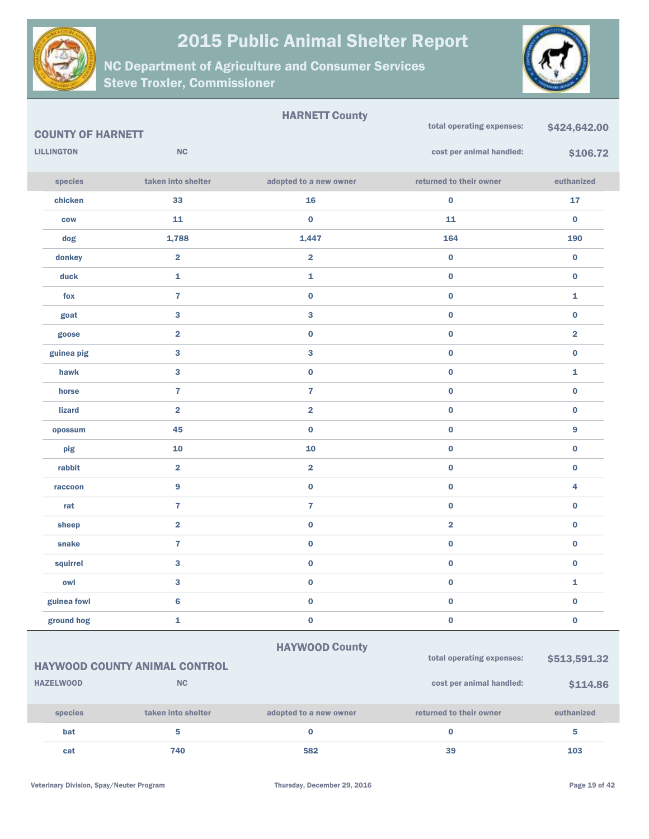



| <b>COUNTY OF HARNETT</b> |                                      | <b>HARNETT County</b>   | total operating expenses: | \$424,642.00            |
|--------------------------|--------------------------------------|-------------------------|---------------------------|-------------------------|
| <b>LILLINGTON</b>        | NC                                   |                         | cost per animal handled:  | \$106.72                |
| species                  | taken into shelter                   | adopted to a new owner  | returned to their owner   | euthanized              |
| chicken                  | 33                                   | 16                      | $\bf{0}$                  | ${\bf 17}$              |
| <b>COW</b>               | 11                                   | $\pmb{0}$               | 11                        | $\bf{0}$                |
| dog                      | 1,788                                | 1,447                   | 164                       | 190                     |
| donkey                   | $\overline{\mathbf{2}}$              | $\overline{\mathbf{2}}$ | $\pmb{0}$                 | $\bf{0}$                |
| duck                     | $\mathbf{1}$                         | 1                       | $\pmb{0}$                 | $\bf{0}$                |
| fox                      | $\overline{7}$                       | $\bf{0}$                | $\pmb{0}$                 | 1                       |
| goat                     | 3                                    | 3                       | $\pmb{0}$                 | $\bf{0}$                |
| goose                    | $\overline{\mathbf{2}}$              | $\mathbf 0$             | $\bf{0}$                  | $\overline{\mathbf{2}}$ |
| guinea pig               | 3                                    | 3                       | $\pmb{0}$                 | $\bf{0}$                |
|                          |                                      |                         |                           |                         |
| hawk                     | 3                                    | $\boldsymbol{0}$        | $\bf{0}$                  | 1                       |
| horse                    | $\overline{7}$                       | $\overline{7}$          | $\pmb{0}$                 | $\bf{0}$                |
| <b>lizard</b>            | $\overline{\mathbf{2}}$              | $\overline{2}$          | $\pmb{0}$                 | $\bf{0}$                |
| opossum                  | 45                                   | $\bf{0}$                | $\pmb{0}$                 | 9                       |
| pig                      | 10                                   | 10                      | $\pmb{0}$                 | $\bf{0}$                |
| rabbit                   | $\overline{\mathbf{2}}$              | $\overline{2}$          | $\pmb{0}$                 | $\bf{0}$                |
| raccoon                  | 9                                    | $\mathbf 0$             | $\pmb{0}$                 | 4                       |
| rat                      | $\overline{7}$                       | $\overline{7}$          | $\pmb{0}$                 | $\bf{0}$                |
| sheep                    | $\overline{\mathbf{2}}$              | $\mathbf 0$             | $\overline{\mathbf{2}}$   | $\pmb{0}$               |
| snake                    | $\overline{7}$                       | $\bf{0}$                | $\bf{0}$                  | $\bf{0}$                |
| squirrel                 | 3                                    | $\boldsymbol{0}$        | $\pmb{0}$                 | $\pmb{0}$               |
| owl                      | 3                                    | $\bf{0}$                | $\bf{0}$                  | 1                       |
| guinea fowl              | $\bf 6$                              | $\boldsymbol{0}$        | $\pmb{0}$                 | $\mathbf 0$             |
| ground hog               | 1                                    | $\mathbf 0$             | $\pmb{0}$                 | $\bf{0}$                |
|                          |                                      | <b>HAYWOOD County</b>   |                           |                         |
|                          | <b>HAYWOOD COUNTY ANIMAL CONTROL</b> |                         | total operating expenses: | \$513,591.32            |
| <b>HAZELWOOD</b>         | $\mathsf{N}\mathsf{C}$               |                         | cost per animal handled:  | \$114.86                |

| <b>species</b> | taken into shelter | adopted to a new owner | returned to their owner | euthanized |
|----------------|--------------------|------------------------|-------------------------|------------|
| bat            |                    |                        |                         |            |
| cat            | 740                | 582                    | 39                      | 103        |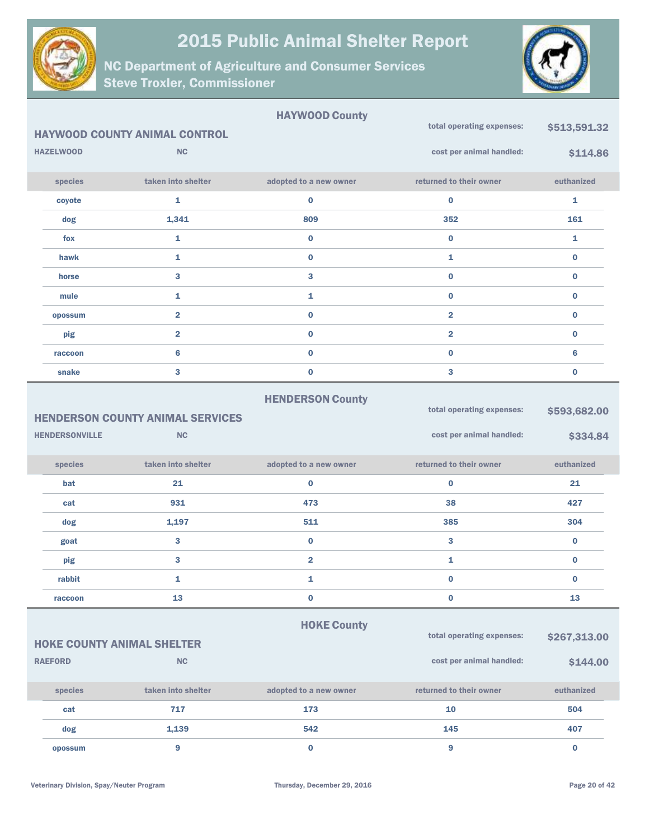



|                       |                                         | <b>HAYWOOD County</b>   | total operating expenses: | \$513,591.32 |
|-----------------------|-----------------------------------------|-------------------------|---------------------------|--------------|
|                       | <b>HAYWOOD COUNTY ANIMAL CONTROL</b>    |                         |                           |              |
| <b>HAZELWOOD</b>      | NC                                      |                         | cost per animal handled:  | \$114.86     |
| species               | taken into shelter                      | adopted to a new owner  | returned to their owner   | euthanized   |
| coyote                | 1                                       | $\bf{0}$                | 0                         | 1            |
| dog                   | 1,341                                   | 809                     | 352                       | 161          |
| fox                   | $\mathbf{1}$                            | $\bf{0}$                | $\bf{0}$                  | $\mathbf{1}$ |
| hawk                  | 1                                       | $\bf{0}$                | 1                         | $\bf{0}$     |
| horse                 | 3                                       | 3                       | $\bf{0}$                  | $\bf{0}$     |
| mule                  | $\mathbf{1}$                            | 1                       | $\bf{0}$                  | $\bf{0}$     |
| opossum               | $\overline{\mathbf{2}}$                 | $\bf{0}$                | $\overline{\mathbf{2}}$   | $\bf{0}$     |
| pig                   | $\overline{\mathbf{2}}$                 | $\bf{0}$                | $\overline{\mathbf{2}}$   | $\bf{0}$     |
| raccoon               | $6\phantom{1}6$                         | $\bf{0}$                | $\bf{0}$                  | 6            |
| snake                 | 3                                       | $\bf{0}$                | 3                         | $\bf{0}$     |
|                       | <b>HENDERSON COUNTY ANIMAL SERVICES</b> | <b>HENDERSON County</b> | total operating expenses: | \$593,682.00 |
| <b>HENDERSONVILLE</b> | <b>NC</b>                               |                         | cost per animal handled:  | \$334.84     |
| species               | taken into shelter                      | adopted to a new owner  | returned to their owner   | euthanized   |
| bat                   | 21                                      | $\bf{0}$                | $\bf{0}$                  | 21           |
| cat                   | 931                                     | 473                     | 38                        | 427          |
| dog                   | 1,197                                   | 511                     | 385                       | 304          |
| goat                  | $\bf{3}$                                | $\bf{0}$                | 3                         | $\bf{0}$     |
| pig                   | 3                                       | $\overline{\mathbf{2}}$ | 1                         | $\bf{0}$     |
| rabbit                | 1                                       | 1                       | $\bf{0}$                  | $\bf{0}$     |
| raccoon               | 13                                      | $\pmb{0}$               | 0                         | 13           |
|                       | <b>HOKE COUNTY ANIMAL SHELTER</b>       | <b>HOKE County</b>      | total operating expenses: | \$267,313.00 |
| <b>RAEFORD</b>        | NC                                      |                         | cost per animal handled:  | \$144.00     |
| species               | taken into shelter                      | adopted to a new owner  | returned to their owner   | euthanized   |
| cat                   | 717                                     | 173                     | 10                        | 504          |
| dog                   | 1,139                                   | 542                     | 145                       | 407          |
| opossum               | $\boldsymbol{9}$                        | $\pmb{0}$               | 9                         | $\mathbf 0$  |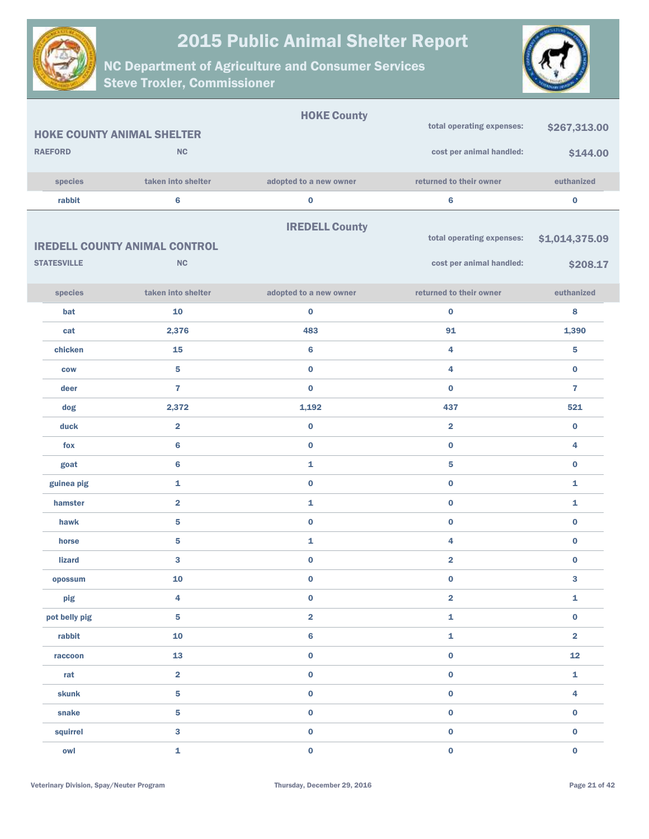



|                                   |                                      | <b>HOKE County</b>      |                           |                         |
|-----------------------------------|--------------------------------------|-------------------------|---------------------------|-------------------------|
| <b>HOKE COUNTY ANIMAL SHELTER</b> |                                      |                         | total operating expenses: | \$267,313.00            |
| <b>RAEFORD</b>                    | NC                                   |                         | cost per animal handled:  | \$144.00                |
| species                           | taken into shelter                   | adopted to a new owner  | returned to their owner   | euthanized              |
| rabbit                            | $6\phantom{1}6$                      | $\pmb{0}$               | $\bf 6$                   | $\bf{0}$                |
|                                   |                                      |                         |                           |                         |
|                                   |                                      | <b>IREDELL County</b>   | total operating expenses: |                         |
|                                   | <b>IREDELL COUNTY ANIMAL CONTROL</b> |                         |                           | \$1,014,375.09          |
| <b>STATESVILLE</b>                | NC                                   |                         | cost per animal handled:  | \$208.17                |
| species                           | taken into shelter                   | adopted to a new owner  | returned to their owner   | euthanized              |
| bat                               | 10                                   | $\pmb{0}$               | $\bf{0}$                  | 8                       |
| cat                               | 2,376                                | 483                     | 91                        | 1,390                   |
| chicken                           | 15                                   | $\bf 6$                 | 4                         | 5                       |
| <b>COW</b>                        | $\overline{\mathbf{5}}$              | $\pmb{0}$               | 4                         | $\bf{0}$                |
| deer                              | $\overline{7}$                       | $\bf{0}$                | $\bf{0}$                  | $\overline{7}$          |
| dog                               | 2,372                                | 1,192                   | 437                       | 521                     |
| duck                              | $\overline{\mathbf{2}}$              | $\pmb{0}$               | $\overline{2}$            | $\bf{0}$                |
| fox                               | $6\phantom{1}6$                      | $\pmb{0}$               | $\bf{0}$                  | 4                       |
| goat                              | $6\phantom{1}6$                      | $\mathbf{1}$            | ${\bf 5}$                 | $\bf{0}$                |
| guinea pig                        | 1                                    | $\pmb{0}$               | $\bf{0}$                  | 1                       |
| hamster                           | $\overline{\mathbf{2}}$              | 1                       | $\bf{0}$                  | 1                       |
| hawk                              | 5                                    | $\pmb{0}$               | $\pmb{0}$                 | $\bf{0}$                |
| horse                             | 5                                    | 1                       | 4                         | $\bf{0}$                |
| <b>lizard</b>                     | 3                                    | $\pmb{0}$               | $\overline{\mathbf{2}}$   | $\bf{0}$                |
| opossum                           | 10                                   | $\pmb{0}$               | $\bf{0}$                  | 3                       |
| pig                               | 4                                    | $\pmb{0}$               | $\overline{\mathbf{2}}$   | 1                       |
| pot belly pig                     | $\overline{\mathbf{5}}$              | $\overline{\mathbf{2}}$ | $\mathbf 1$               | $\pmb{0}$               |
| rabbit                            | ${\bf 10}$                           | $\bf 6$                 | $\mathbf 1$               | $\overline{\mathbf{2}}$ |
| raccoon                           | 13                                   | $\pmb{0}$               | $\pmb{0}$                 | ${\bf 12}$              |
| rat                               | $\overline{\mathbf{2}}$              | $\pmb{0}$               | $\pmb{0}$                 | $\mathbf 1$             |
| skunk                             | ${\bf 5}$                            | $\pmb{0}$               | $\pmb{0}$                 | 4                       |
| snake                             | ${\bf 5}$                            | $\pmb{0}$               | $\pmb{0}$                 | $\pmb{0}$               |
| squirrel                          | $\mathbf{3}$                         | $\pmb{0}$               | $\pmb{0}$                 | $\mathbf 0$             |
| owl                               | $\mathbf 1$                          | $\pmb{0}$               | $\pmb{0}$                 | $\pmb{0}$               |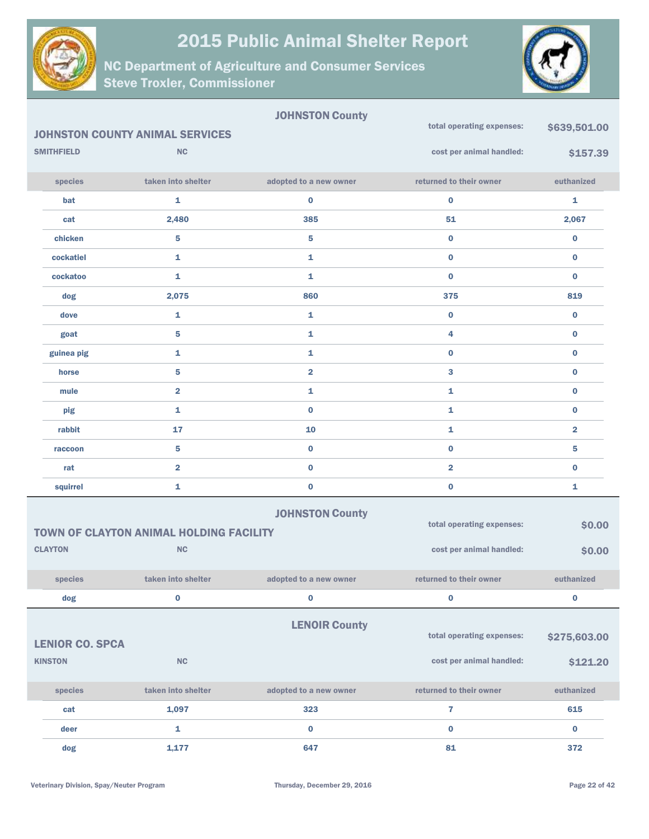



|                        |                                                | <b>JOHNSTON County</b>  | total operating expenses: | \$639,501.00            |
|------------------------|------------------------------------------------|-------------------------|---------------------------|-------------------------|
|                        | <b>JOHNSTON COUNTY ANIMAL SERVICES</b>         |                         |                           |                         |
| <b>SMITHFIELD</b>      | <b>NC</b>                                      |                         | cost per animal handled:  | \$157.39                |
| species                | taken into shelter                             | adopted to a new owner  | returned to their owner   | euthanized              |
| bat                    | 1                                              | $\bf{0}$                | $\bf{0}$                  | 1                       |
| cat                    | 2,480                                          | 385                     | 51                        | 2,067                   |
| chicken                | 5                                              | 5                       | $\bf{0}$                  | $\pmb{0}$               |
| cockatiel              | 1                                              | 1                       | $\bf{0}$                  | $\bf{0}$                |
| cockatoo               | 1                                              | 1                       | $\bf{0}$                  | $\bf{0}$                |
| dog                    | 2,075                                          | 860                     | 375                       | 819                     |
| dove                   | 1                                              | 1                       | $\bf{0}$                  | $\bf{0}$                |
| goat                   | 5                                              | 1                       | 4                         | $\bf{0}$                |
| guinea pig             | 1                                              | 1                       | $\bf{0}$                  | $\bf{0}$                |
| horse                  | 5                                              | $\overline{\mathbf{2}}$ | 3                         | $\bf{0}$                |
| mule                   | $\overline{\mathbf{2}}$                        | 1                       | $\mathbf{1}$              | $\bf{0}$                |
| pig                    | 1                                              | $\bf{0}$                | $\mathbf{1}$              | $\pmb{0}$               |
| rabbit                 | 17                                             | 10                      | $\mathbf{1}$              | $\overline{\mathbf{2}}$ |
| raccoon                | 5                                              | $\pmb{0}$               | $\bf{0}$                  | 5                       |
| rat                    | $\overline{\mathbf{2}}$                        | $\bf{0}$                | $\overline{2}$            | $\bf{0}$                |
| squirrel               | 1                                              | $\pmb{0}$               | $\bf{0}$                  | 1                       |
|                        |                                                | <b>JOHNSTON County</b>  |                           |                         |
|                        | <b>TOWN OF CLAYTON ANIMAL HOLDING FACILITY</b> |                         | total operating expenses: | \$0.00                  |
| <b>CLAYTON</b>         | <b>NC</b>                                      |                         | cost per animal handled:  | \$0.00                  |
| species                | taken into shelter                             | adopted to a new owner  | returned to their owner   | euthanized              |
| dog                    | $\mathbf 0$                                    | $\pmb{0}$               | $\bf{0}$                  | $\pmb{0}$               |
|                        |                                                | <b>LENOIR County</b>    |                           |                         |
| <b>LENIOR CO. SPCA</b> |                                                |                         | total operating expenses: | \$275,603.00            |
| <b>KINSTON</b>         | NC                                             |                         | cost per animal handled:  | \$121.20                |
|                        |                                                |                         |                           |                         |
| species                | taken into shelter                             | adopted to a new owner  | returned to their owner   | euthanized              |
| cat                    | 1,097                                          | 323                     | $\overline{7}$            | 615                     |
| deer                   | 1                                              | $\bf{0}$                | $\bf{0}$                  | $\bf{0}$                |
| dog                    | 1,177                                          | 647                     | 81                        | 372                     |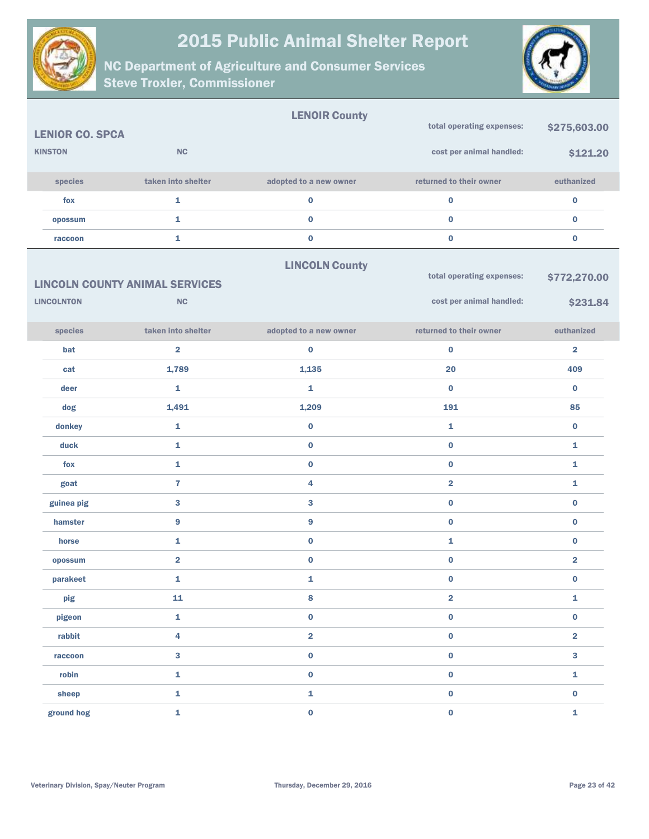



|                        |                                       | <b>LENOIR County</b>    |                           |                         |
|------------------------|---------------------------------------|-------------------------|---------------------------|-------------------------|
| <b>LENIOR CO. SPCA</b> |                                       |                         | total operating expenses: | \$275,603.00            |
| <b>KINSTON</b>         | <b>NC</b>                             |                         | cost per animal handled:  | \$121.20                |
| species                | taken into shelter                    | adopted to a new owner  | returned to their owner   | euthanized              |
| fox                    | $\mathbf{1}$                          | $\pmb{0}$               | $\pmb{0}$                 | $\pmb{0}$               |
| opossum                | 1                                     | $\pmb{0}$               | $\bf{0}$                  | $\bf{0}$                |
| raccoon                | $\mathbf{1}$                          | $\pmb{0}$               | $\pmb{0}$                 | $\pmb{0}$               |
|                        |                                       | <b>LINCOLN County</b>   |                           |                         |
|                        | <b>LINCOLN COUNTY ANIMAL SERVICES</b> |                         | total operating expenses: | \$772,270.00            |
| <b>LINCOLNTON</b>      | <b>NC</b>                             |                         | cost per animal handled:  | \$231.84                |
| species                | taken into shelter                    | adopted to a new owner  | returned to their owner   | euthanized              |
| bat                    | $\overline{2}$                        | $\bf{0}$                | $\bf{0}$                  | $\overline{2}$          |
| cat                    | 1,789                                 | 1,135                   | 20                        | 409                     |
| deer                   | $\mathbf{1}$                          | 1                       | $\bf{0}$                  | $\bf{0}$                |
| dog                    | 1,491                                 | 1,209                   | 191                       | 85                      |
| donkey                 | $\mathbf 1$                           | $\pmb{0}$               | 1                         | $\bf{0}$                |
| duck                   | $\mathbf{1}$                          | $\pmb{0}$               | 0                         | 1                       |
| fox                    | $\mathbf 1$                           | $\pmb{0}$               | $\pmb{0}$                 | 1                       |
| goat                   | $\overline{7}$                        | 4                       | $\overline{\mathbf{2}}$   | 1                       |
| guinea pig             | $\mathbf{3}$                          | 3                       | $\pmb{0}$                 | $\bf{0}$                |
| hamster                | $\bf{9}$                              | $\boldsymbol{9}$        | $\bf{0}$                  | $\bf{0}$                |
| horse                  | $\mathbf{1}$                          | $\pmb{0}$               | 1                         | $\pmb{0}$               |
| opossum                | $\overline{\mathbf{2}}$               | $\bf{0}$                | 0                         | $\overline{\mathbf{2}}$ |
| parakeet               | 1                                     | 1                       | $\bf{0}$                  | $\bf{0}$                |
| pig                    | 11                                    | $\bf8$                  | $\overline{\mathbf{2}}$   | 1                       |
| pigeon                 | $\mathbf 1$                           | $\pmb{0}$               | $\pmb{0}$                 | $\pmb{0}$               |
| rabbit                 | $\overline{\mathbf{4}}$               | $\overline{\mathbf{2}}$ | $\pmb{0}$                 | $\overline{\mathbf{2}}$ |
| raccoon                | $\mathbf{3}$                          | $\pmb{0}$               | $\pmb{0}$                 | $\overline{\mathbf{3}}$ |
| robin                  | $\mathbf 1$                           | $\pmb{0}$               | $\pmb{0}$                 | $\mathbf 1$             |
| sheep                  | $\mathbf 1$                           | $\mathbf 1$             | $\pmb{0}$                 | $\pmb{0}$               |
| ground hog             | $\mathbf 1$                           | $\pmb{0}$               | $\pmb{0}$                 | $\mathbf 1$             |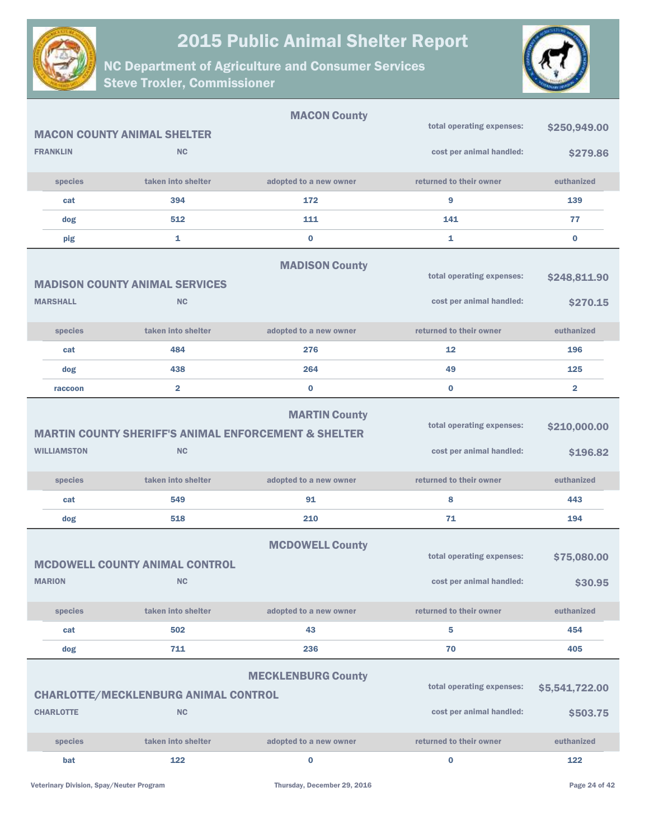



|                    |                                                          | <b>MACON County</b>                                                                     |                                                       |                            |
|--------------------|----------------------------------------------------------|-----------------------------------------------------------------------------------------|-------------------------------------------------------|----------------------------|
|                    | <b>MACON COUNTY ANIMAL SHELTER</b>                       |                                                                                         | total operating expenses:                             | \$250,949.00               |
| <b>FRANKLIN</b>    | <b>NC</b>                                                |                                                                                         | cost per animal handled:                              | \$279.86                   |
| species            | taken into shelter                                       | adopted to a new owner                                                                  | returned to their owner                               | euthanized                 |
| cat                | 394                                                      | 172                                                                                     | 9                                                     | 139                        |
| dog                | 512                                                      | 111                                                                                     | 141                                                   | 77                         |
| pig                | 1                                                        | $\bf{0}$                                                                                | 1                                                     | $\bf{0}$                   |
|                    |                                                          | <b>MADISON County</b>                                                                   |                                                       |                            |
|                    | <b>MADISON COUNTY ANIMAL SERVICES</b>                    |                                                                                         | total operating expenses:                             | \$248,811.90               |
| <b>MARSHALL</b>    | <b>NC</b>                                                |                                                                                         | cost per animal handled:                              | \$270.15                   |
| species            | taken into shelter                                       | adopted to a new owner                                                                  | returned to their owner                               | euthanized                 |
| cat                | 484                                                      | 276                                                                                     | 12                                                    | 196                        |
| dog                | 438                                                      | 264                                                                                     | 49                                                    | 125                        |
| raccoon            | $\overline{2}$                                           | $\bf{0}$                                                                                | $\bf{0}$                                              | $\overline{2}$             |
|                    |                                                          | <b>MARTIN County</b><br><b>MARTIN COUNTY SHERIFF'S ANIMAL ENFORCEMENT &amp; SHELTER</b> | total operating expenses:                             | \$210,000.00               |
| <b>WILLIAMSTON</b> | <b>NC</b>                                                |                                                                                         | cost per animal handled:                              | \$196.82                   |
| species            | taken into shelter                                       | adopted to a new owner                                                                  | returned to their owner                               | euthanized                 |
| cat                | 549                                                      | 91                                                                                      | 8                                                     | 443                        |
| dog                | 518                                                      | 210                                                                                     | 71                                                    | 194                        |
|                    | <b>MCDOWELL COUNTY ANIMAL CONTROL</b>                    | <b>MCDOWELL County</b>                                                                  | total operating expenses:                             | \$75,080.00                |
| <b>MARION</b>      | <b>NC</b>                                                |                                                                                         | cost per animal handled:                              | \$30.95                    |
| species            | taken into shelter                                       | adopted to a new owner                                                                  | returned to their owner                               | euthanized                 |
| cat                | 502                                                      | 43                                                                                      | 5                                                     | 454                        |
| dog                | 711                                                      | 236                                                                                     | 70                                                    | 405                        |
| <b>CHARLOTTE</b>   | <b>CHARLOTTE/MECKLENBURG ANIMAL CONTROL</b><br><b>NC</b> | <b>MECKLENBURG County</b>                                                               | total operating expenses:<br>cost per animal handled: | \$5,541,722.00<br>\$503.75 |
|                    |                                                          |                                                                                         |                                                       |                            |
| species            | taken into shelter                                       | adopted to a new owner                                                                  | returned to their owner                               | euthanized                 |
| bat                | 122                                                      | 0                                                                                       | $\bf{0}$                                              | 122                        |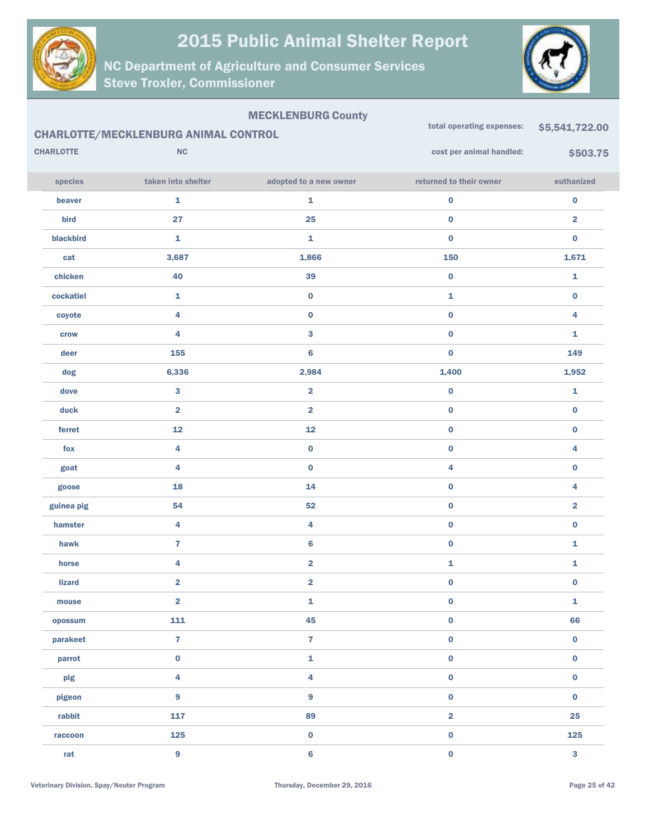

NC Department of Agriculture and Consumer Services Steve Troxler, Commissioner



#### MECKLENBURG County

|                  | <b>CHARLOTTE/MECKLENBURG ANIMAL CONTROL</b> |                         | total operating expenses: | \$5,541,722.00          |
|------------------|---------------------------------------------|-------------------------|---------------------------|-------------------------|
| <b>CHARLOTTE</b> | NC                                          |                         | cost per animal handled:  | \$503.75                |
| species          | taken into shelter                          | adopted to a new owner  | returned to their owner   | euthanized              |
| beaver           | 1                                           | $\mathbf 1$             | $\mathbf 0$               | $\pmb{0}$               |
| bird             | 27                                          | 25                      | $\pmb{0}$                 | $\overline{\mathbf{2}}$ |
| blackbird        | 1                                           | $\mathbf 1$             | $\pmb{0}$                 | $\pmb{0}$               |
| cat              | 3,687                                       | 1,866                   | 150                       | 1,671                   |
| chicken          | 40                                          | 39                      | $\pmb{0}$                 | $\mathbf 1$             |
| cockatiel        | 1                                           | $\pmb{0}$               | $\mathbf 1$               | $\pmb{0}$               |
| coyote           | 4                                           | $\pmb{0}$               | $\pmb{0}$                 | 4                       |
| crow             | 4                                           | $\bf{3}$                | $\pmb{0}$                 | 1                       |
| deer             | 155                                         | $\bf 6$                 | $\pmb{0}$                 | 149                     |
| dog              | 6,336                                       | 2,984                   | 1,400                     | 1,952                   |
| dove             | 3                                           | $\overline{\mathbf{2}}$ | $\pmb{0}$                 | $\mathbf 1$             |
| duck             | $\overline{\mathbf{2}}$                     | $\overline{\mathbf{2}}$ | $\pmb{0}$                 | $\pmb{0}$               |
| ferret           | 12                                          | 12                      | $\pmb{0}$                 | $\pmb{0}$               |
| fox              | 4                                           | $\pmb{0}$               | $\pmb{0}$                 | 4                       |
| goat             | 4                                           | $\pmb{0}$               | 4                         | $\pmb{0}$               |
| goose            | 18                                          | 14                      | $\pmb{0}$                 | 4                       |
| guinea pig       | 54                                          | 52                      | $\pmb{0}$                 | $\overline{\mathbf{2}}$ |
| hamster          | 4                                           | 4                       | $\pmb{0}$                 | $\pmb{0}$               |
| hawk             | $\overline{\mathbf{r}}$                     | $\bf 6$                 | $\pmb{0}$                 | $\mathbf 1$             |
| horse            | 4                                           | $\overline{\mathbf{2}}$ | $\mathbf{1}$              | $\mathbf 1$             |
| <b>lizard</b>    | $\overline{\mathbf{2}}$                     | $\overline{\mathbf{2}}$ | $\pmb{0}$                 | $\pmb{0}$               |
| mouse            | $\overline{\mathbf{2}}$                     | $\mathbf{1}$            | $\pmb{0}$                 | $\mathbf{1}$            |
| opossum          | 111                                         | 45                      | $\mathbf 0$               | 66                      |
| parakeet         | $\overline{7}$                              | $\overline{7}$          | $\mathbf 0$               | $\mathbf 0$             |
| parrot           | $\mathbf 0$                                 | $\mathbf 1$             | $\mathbf 0$               | $\mathbf 0$             |
| pig              | 4                                           | $\overline{\mathbf{4}}$ | $\mathbf 0$               | $\mathbf 0$             |
| pigeon           | 9                                           | $\boldsymbol{9}$        | $\mathbf 0$               | $\mathbf 0$             |
| rabbit           | 117                                         | 89                      | $\overline{\mathbf{2}}$   | 25                      |
| raccoon          | 125                                         | $\pmb{0}$               | $\mathbf 0$               | 125                     |
| rat              | 9                                           | $\bf 6$                 | $\pmb{0}$                 | $\mathbf{3}$            |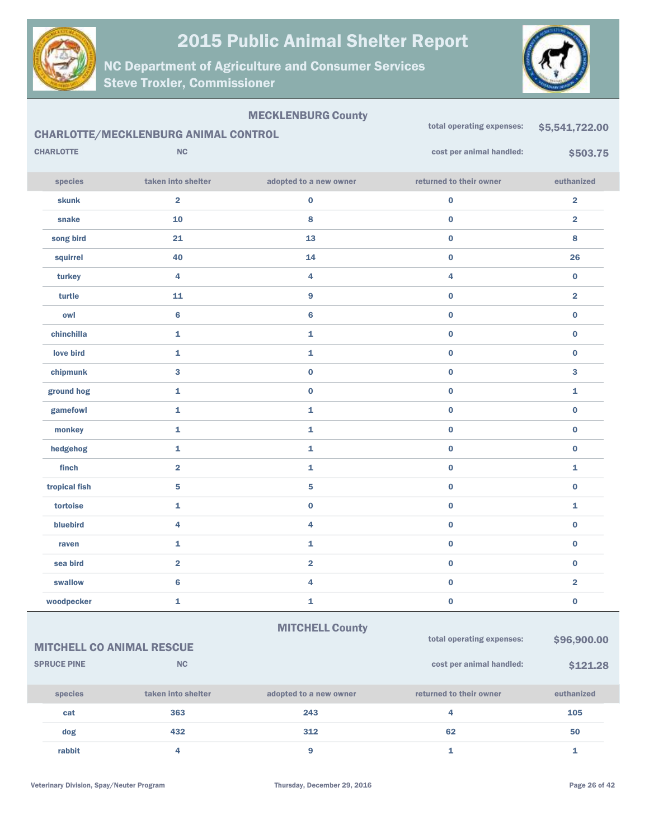

NC Department of Agriculture and Consumer Services Steve Troxler, Commissioner



#### MECKLENBURG County

|                  | <b>CHARLOTTE/MECKLENBURG ANIMAL CONTROL</b> | <u>======</u>           | total operating expenses: | \$5,541,722.00          |
|------------------|---------------------------------------------|-------------------------|---------------------------|-------------------------|
| <b>CHARLOTTE</b> | NC                                          |                         | cost per animal handled:  | \$503.75                |
| species          | taken into shelter                          | adopted to a new owner  | returned to their owner   | euthanized              |
| <b>skunk</b>     | $\overline{\mathbf{2}}$                     | $\pmb{0}$               | $\pmb{0}$                 | $\overline{\mathbf{2}}$ |
| snake            | ${\bf 10}$                                  | 8                       | $\pmb{0}$                 | $\overline{\mathbf{2}}$ |
| song bird        | 21                                          | 13                      | $\pmb{0}$                 | $\bf8$                  |
| squirrel         | 40                                          | 14                      | $\pmb{0}$                 | 26                      |
| turkey           | $\overline{4}$                              | 4                       | $\overline{\mathbf{4}}$   | $\bf{0}$                |
| turtle           | 11                                          | 9                       | $\pmb{0}$                 | $\overline{\mathbf{2}}$ |
| owl              | $6\phantom{a}$                              | $6\phantom{a}$          | $\pmb{0}$                 | $\pmb{0}$               |
| chinchilla       | $\mathbf{1}$                                | 1                       | $\pmb{0}$                 | $\bf{0}$                |
| love bird        | $\mathbf{1}$                                | 1                       | $\pmb{0}$                 | $\pmb{0}$               |
| chipmunk         | 3                                           | $\pmb{0}$               | $\pmb{0}$                 | 3                       |
| ground hog       | $\mathbf{1}$                                | $\bf{0}$                | $\bf{0}$                  | $\mathbf{1}$            |
| gamefowl         | $\mathbf{1}$                                | 1                       | $\bf{0}$                  | $\bf{0}$                |
| monkey           | $\mathbf{1}$                                | 1                       | $\pmb{0}$                 | $\pmb{0}$               |
| hedgehog         | $\mathbf{1}$                                | $\mathbf{1}$            | $\pmb{0}$                 | $\mathbf 0$             |
| finch            | $\overline{\mathbf{2}}$                     | 1                       | $\pmb{0}$                 | $\mathbf{1}$            |
| tropical fish    | ${\bf 5}$                                   | 5                       | $\pmb{0}$                 | $\pmb{0}$               |
| tortoise         | $\mathbf{1}$                                | $\mathbf 0$             | $\pmb{0}$                 | $\mathbf{1}$            |
| bluebird         | $\overline{4}$                              | 4                       | $\pmb{0}$                 | $\bf{0}$                |
| raven            | $\mathbf{1}$                                | 1                       | $\pmb{0}$                 | $\pmb{0}$               |
| sea bird         | $\overline{\mathbf{2}}$                     | $\overline{\mathbf{2}}$ | $\pmb{0}$                 | $\bf{0}$                |
| swallow          | 6                                           | 4                       | $\pmb{0}$                 | $\overline{\mathbf{2}}$ |
| woodpecker       | 1                                           | 1                       | $\bf{0}$                  | $\bf{0}$                |

#### **MITCHELL County**

MITCHELL CO ANIMAL RESCUE

| <b>SPRUCE PINE</b> | <b>NC</b>          |                        | cost per animal handled: | \$121.28   |
|--------------------|--------------------|------------------------|--------------------------|------------|
| <b>species</b>     | taken into shelter | adopted to a new owner | returned to their owner  | euthanized |
| cat                | 363                | 243                    |                          | 105        |
| dog                | 432                | 312                    | 62                       | 50         |
| rabbit             |                    | 9                      |                          |            |

total operating expenses: \$96,900.00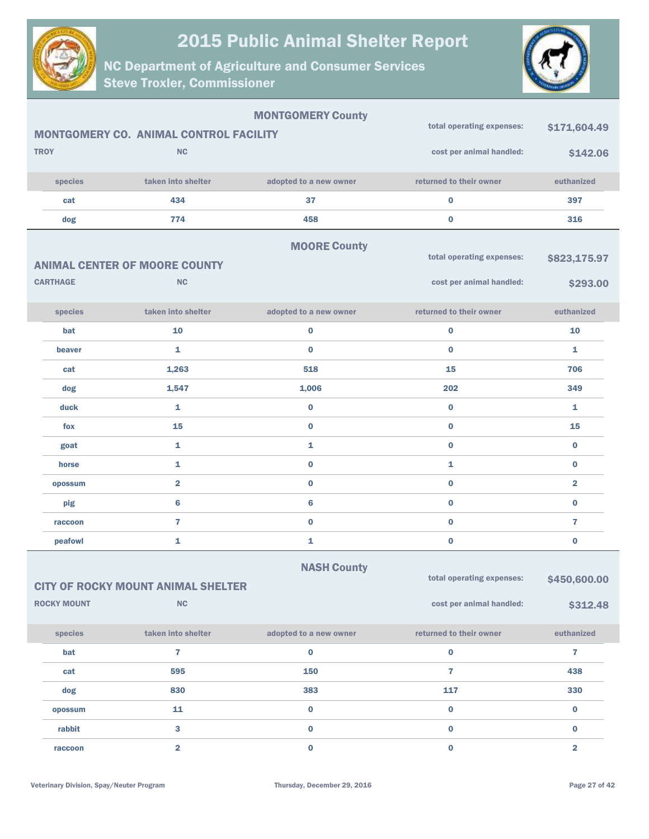



| <b>TROY</b><br>species<br>cat<br>dog | MONTGOMERY CO. ANIMAL CONTROL FACILITY<br><b>NC</b><br>taken into shelter<br>434<br>774<br><b>ANIMAL CENTER OF MOORE COUNTY</b> | <b>MONTGOMERY County</b><br>adopted to a new owner<br>37<br>458<br><b>MOORE County</b> | total operating expenses:<br>cost per animal handled:<br>returned to their owner<br>$\pmb{0}$<br>$\bf{0}$<br>total operating expenses: | \$171,604.49<br>\$142.06<br>euthanized<br>397<br>316<br>\$823,175.97 |
|--------------------------------------|---------------------------------------------------------------------------------------------------------------------------------|----------------------------------------------------------------------------------------|----------------------------------------------------------------------------------------------------------------------------------------|----------------------------------------------------------------------|
| <b>CARTHAGE</b>                      | <b>NC</b>                                                                                                                       |                                                                                        | cost per animal handled:                                                                                                               | \$293.00                                                             |
| species                              | taken into shelter                                                                                                              | adopted to a new owner                                                                 | returned to their owner                                                                                                                | euthanized                                                           |
| bat                                  | 10                                                                                                                              | $\bf{0}$                                                                               | $\bf{0}$                                                                                                                               | 10                                                                   |
| beaver                               | $\mathbf{1}$                                                                                                                    | $\bf{0}$                                                                               | $\bf{0}$                                                                                                                               | $\mathbf{1}$                                                         |
| cat                                  | 1,263                                                                                                                           | 518                                                                                    | 15                                                                                                                                     | 706                                                                  |
| dog                                  | 1,547                                                                                                                           | 1,006                                                                                  | 202                                                                                                                                    | 349                                                                  |
| duck                                 | $\mathbf{1}$                                                                                                                    | $\bf{0}$                                                                               | $\bf{0}$                                                                                                                               | $\mathbf{1}$                                                         |
| fox                                  | 15                                                                                                                              | $\bf{0}$                                                                               | $\bf{0}$                                                                                                                               | 15                                                                   |
| goat                                 | $\mathbf{1}$                                                                                                                    | 1                                                                                      | $\bf{0}$                                                                                                                               | $\bf{0}$                                                             |
| horse                                | $\mathbf{1}$                                                                                                                    | $\bf{0}$                                                                               | $\mathbf{1}$                                                                                                                           | $\bf{0}$                                                             |
| opossum                              | $\overline{\mathbf{2}}$                                                                                                         | $\bf{0}$                                                                               | $\bf{0}$                                                                                                                               | $\overline{\mathbf{2}}$                                              |
| pig                                  | $6\phantom{a}$                                                                                                                  | 6                                                                                      | $\bf{0}$                                                                                                                               | $\bf{0}$                                                             |
| raccoon                              | $\overline{7}$                                                                                                                  | $\bf{0}$                                                                               | $\bf{0}$                                                                                                                               | 7                                                                    |
| peafowl                              | 1                                                                                                                               | 1                                                                                      | $\bf{0}$                                                                                                                               | $\bf{0}$                                                             |
| <b>ROCKY MOUNT</b>                   | <b>CITY OF ROCKY MOUNT ANIMAL SHELTER</b><br>NC                                                                                 | <b>NASH County</b>                                                                     | total operating expenses:<br>cost per animal handled:                                                                                  | \$450,600.00<br>\$312.48                                             |
| species                              | taken into shelter                                                                                                              | adopted to a new owner                                                                 | returned to their owner                                                                                                                | euthanized                                                           |
| bat                                  | $\overline{7}$                                                                                                                  | $\bf{0}$                                                                               | $\mathbf 0$                                                                                                                            | $\overline{\mathbf{r}}$                                              |
| cat                                  | 595                                                                                                                             | 150                                                                                    | $\overline{7}$                                                                                                                         | 438                                                                  |
| dog                                  | 830                                                                                                                             | 383                                                                                    | 117                                                                                                                                    | 330                                                                  |
| opossum                              | 11                                                                                                                              | $\pmb{0}$                                                                              | $\pmb{0}$                                                                                                                              | $\bf{0}$                                                             |
| rabbit                               | 3                                                                                                                               | $\pmb{0}$                                                                              | $\mathbf 0$                                                                                                                            | $\bf{0}$                                                             |
| raccoon                              | $\overline{\mathbf{2}}$                                                                                                         | $\pmb{0}$                                                                              | $\mathbf 0$                                                                                                                            | $\overline{2}$                                                       |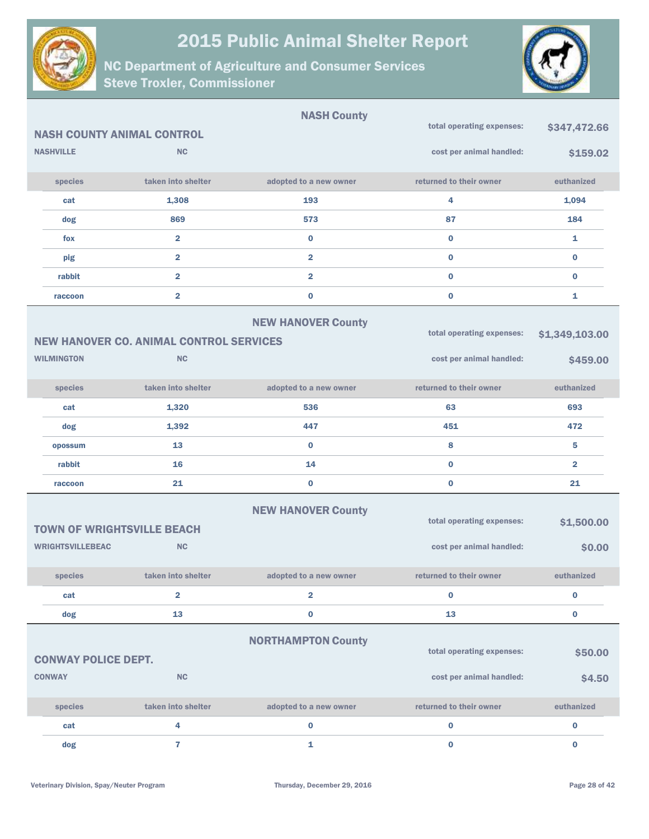



|                                   |                                                | <b>NASH County</b>        |                           |                |
|-----------------------------------|------------------------------------------------|---------------------------|---------------------------|----------------|
| <b>NASH COUNTY ANIMAL CONTROL</b> |                                                |                           | total operating expenses: | \$347,472.66   |
| <b>NASHVILLE</b>                  | <b>NC</b>                                      |                           | cost per animal handled:  | \$159.02       |
| species                           | taken into shelter                             | adopted to a new owner    | returned to their owner   | euthanized     |
| cat                               | 1,308                                          | 193                       | 4                         | 1,094          |
| dog                               | 869                                            | 573                       | 87                        | 184            |
| fox                               | $\overline{\mathbf{2}}$                        | $\bf{0}$                  | $\bf{0}$                  | 1              |
| pig                               | $\overline{\mathbf{2}}$                        | $\overline{\mathbf{2}}$   | $\bf{0}$                  | $\bf{0}$       |
| rabbit                            | $\overline{\mathbf{2}}$                        | $\overline{2}$            | $\bf{0}$                  | $\bf{0}$       |
| raccoon                           | $\overline{\mathbf{2}}$                        | $\bf{0}$                  | $\bf{0}$                  | 1              |
|                                   |                                                | <b>NEW HANOVER County</b> | total operating expenses: | \$1,349,103.00 |
|                                   | <b>NEW HANOVER CO. ANIMAL CONTROL SERVICES</b> |                           |                           |                |
| <b>WILMINGTON</b>                 | <b>NC</b>                                      |                           | cost per animal handled:  | \$459.00       |
| species                           | taken into shelter                             | adopted to a new owner    | returned to their owner   | euthanized     |
| cat                               | 1,320                                          | 536                       | 63                        | 693            |
| dog                               | 1,392                                          | 447                       | 451                       | 472            |
| opossum                           | 13                                             | $\bf{0}$                  | 8                         | 5              |
| rabbit                            | 16                                             | 14                        | $\bf{0}$                  | $\overline{2}$ |
| raccoon                           | 21                                             | $\bf{0}$                  | $\bf{0}$                  | 21             |
| <b>TOWN OF WRIGHTSVILLE BEACH</b> |                                                | <b>NEW HANOVER County</b> | total operating expenses: | \$1,500.00     |
| <b>WRIGHTSVILLEBEAC</b>           | <b>NC</b>                                      |                           | cost per animal handled:  | \$0.00         |
| species                           | taken into shelter                             | adopted to a new owner    | returned to their owner   | euthanized     |
| cat                               | $\overline{\mathbf{2}}$                        | $\overline{\mathbf{2}}$   | $\bf{0}$                  | $\bf{0}$       |
| dog                               | 13                                             | $\bf{0}$                  | 13                        | $\bf{0}$       |
|                                   |                                                | <b>NORTHAMPTON County</b> |                           |                |
| <b>CONWAY POLICE DEPT.</b>        |                                                |                           | total operating expenses: | \$50.00        |
| <b>CONWAY</b>                     | <b>NC</b>                                      |                           | cost per animal handled:  | \$4.50         |
| species                           | taken into shelter                             | adopted to a new owner    | returned to their owner   | euthanized     |
| cat                               | 4                                              | $\bf{0}$                  | $\bf{0}$                  | $\pmb{0}$      |
| dog                               | $\overline{7}$                                 | 1                         | $\bf{0}$                  | $\bf{0}$       |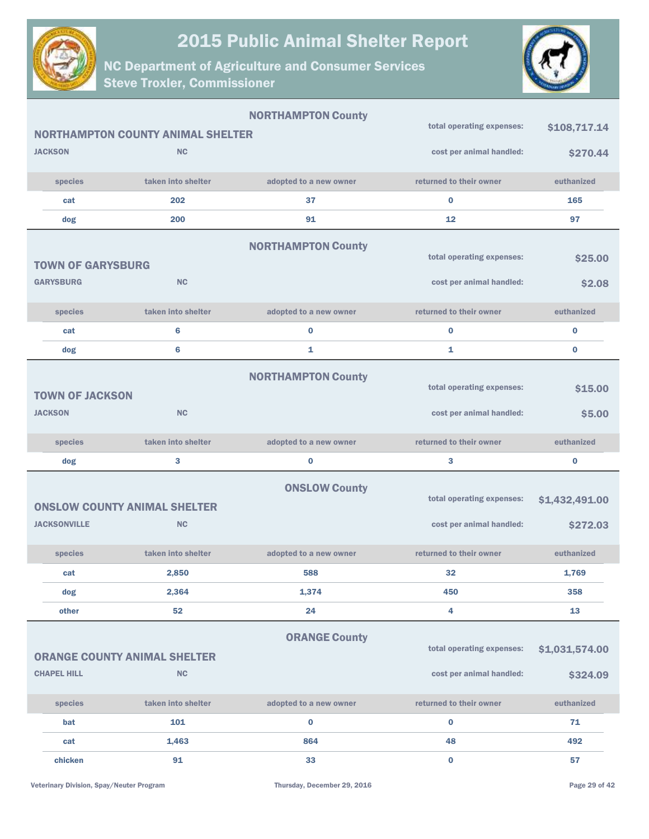



|                          |                                                  | <b>NORTHAMPTON County</b> | total operating expenses:                             | \$108,717.14               |
|--------------------------|--------------------------------------------------|---------------------------|-------------------------------------------------------|----------------------------|
|                          | <b>NORTHAMPTON COUNTY ANIMAL SHELTER</b>         |                           |                                                       |                            |
| <b>JACKSON</b>           | <b>NC</b>                                        |                           | cost per animal handled:                              | \$270.44                   |
| species                  | taken into shelter                               | adopted to a new owner    | returned to their owner                               | euthanized                 |
| cat                      | 202                                              | 37                        | $\bf{0}$                                              | 165                        |
| dog                      | 200                                              | 91                        | 12                                                    | 97                         |
| <b>TOWN OF GARYSBURG</b> | <b>NC</b>                                        | <b>NORTHAMPTON County</b> | total operating expenses:                             | \$25.00                    |
| <b>GARYSBURG</b>         |                                                  |                           | cost per animal handled:                              | \$2.08                     |
| species                  | taken into shelter                               | adopted to a new owner    | returned to their owner                               | euthanized                 |
| cat                      | $6\phantom{1}6$                                  | $\bf{0}$                  | $\bf{0}$                                              | $\bf{0}$                   |
| dog                      | $6\phantom{a}$                                   | 1                         | 1                                                     | $\bf{0}$                   |
| <b>TOWN OF JACKSON</b>   |                                                  | <b>NORTHAMPTON County</b> | total operating expenses:                             | \$15.00                    |
| <b>JACKSON</b>           | <b>NC</b>                                        |                           | cost per animal handled:                              | \$5.00                     |
| species                  | taken into shelter                               | adopted to a new owner    | returned to their owner                               | euthanized                 |
| dog                      | 3                                                | $\bf{0}$                  | 3                                                     | $\bf{0}$                   |
| <b>JACKSONVILLE</b>      | <b>ONSLOW COUNTY ANIMAL SHELTER</b><br><b>NC</b> | <b>ONSLOW County</b>      | total operating expenses:<br>cost per animal handled: | \$1,432,491.00<br>\$272.03 |
| species                  | taken into shelter                               | adopted to a new owner    | returned to their owner                               | euthanized                 |
| cat                      | 2,850                                            | 588                       | 32                                                    | 1,769                      |
| dog                      | 2,364                                            | 1,374                     | 450                                                   | 358                        |
| other                    | 52                                               | 24                        | 4                                                     | 13                         |
| <b>CHAPEL HILL</b>       | <b>ORANGE COUNTY ANIMAL SHELTER</b><br><b>NC</b> | <b>ORANGE County</b>      | total operating expenses:<br>cost per animal handled: | \$1,031,574.00<br>\$324.09 |
| species                  | taken into shelter                               | adopted to a new owner    | returned to their owner                               | euthanized                 |
| bat                      | 101                                              | $\bf{0}$                  | $\bf{0}$                                              | 71                         |
| cat                      | 1,463                                            | 864                       | 48                                                    | 492                        |
| chicken                  | 91                                               | 33                        | $\bf{0}$                                              | 57                         |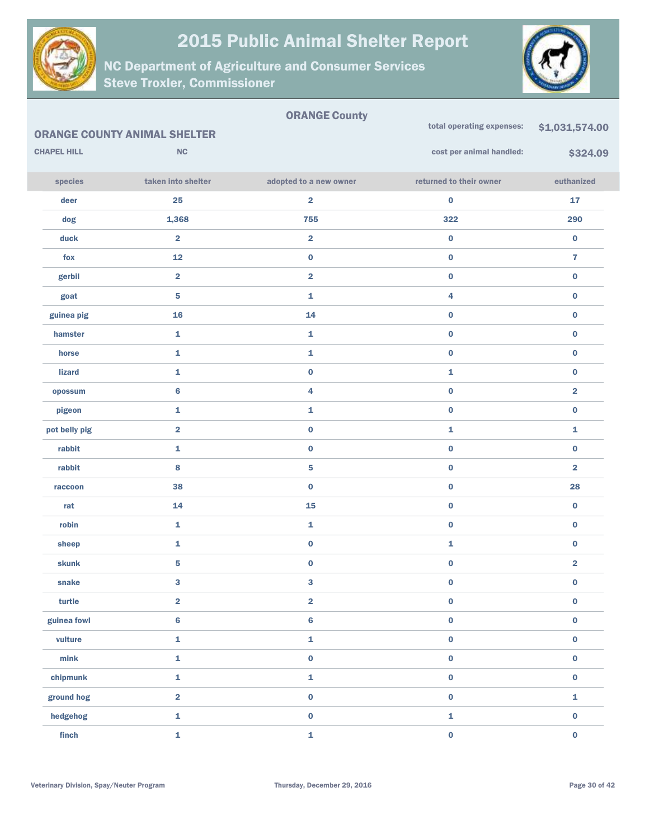

ORANGE County



|                    | <b>ORANGE COUNTY ANIMAL SHELTER</b> |                         | total operating expenses: | \$1,031,574.00          |
|--------------------|-------------------------------------|-------------------------|---------------------------|-------------------------|
| <b>CHAPEL HILL</b> | <b>NC</b>                           |                         | cost per animal handled:  | \$324.09                |
| species            | taken into shelter                  | adopted to a new owner  | returned to their owner   | euthanized              |
| deer               | 25                                  | $\overline{\mathbf{2}}$ | $\pmb{0}$                 | ${\bf 17}$              |
| dog                | 1,368                               | 755                     | 322                       | 290                     |
| duck               | $\overline{\mathbf{2}}$             | $\overline{\mathbf{2}}$ | $\pmb{0}$                 | $\pmb{0}$               |
| fox                | 12                                  | $\pmb{0}$               | $\pmb{0}$                 | $\overline{7}$          |
| gerbil             | $\overline{\mathbf{2}}$             | $\overline{\mathbf{2}}$ | $\pmb{0}$                 | $\pmb{0}$               |
| goat               | $\overline{\mathbf{5}}$             | 1                       | 4                         | $\pmb{0}$               |
| guinea pig         | 16                                  | 14                      | $\pmb{0}$                 | $\pmb{0}$               |
| hamster            | $\mathbf{1}$                        | $\mathbf{1}$            | $\pmb{0}$                 | $\pmb{0}$               |
| horse              | $\mathbf{1}$                        | 1                       | $\pmb{0}$                 | $\pmb{0}$               |
| <b>lizard</b>      | $\mathbf{1}$                        | $\pmb{0}$               | 1                         | $\pmb{0}$               |
| opossum            | 6                                   | 4                       | $\pmb{0}$                 | $\overline{\mathbf{2}}$ |
| pigeon             | $\mathbf{1}$                        | $\mathbf{1}$            | $\pmb{0}$                 | $\pmb{0}$               |
| pot belly pig      | $\overline{\mathbf{2}}$             | $\pmb{0}$               | 1                         | 1                       |
| rabbit             | $\mathbf{1}$                        | $\pmb{0}$               | $\pmb{0}$                 | $\pmb{0}$               |
| rabbit             | 8                                   | 5                       | $\pmb{0}$                 | $\overline{\mathbf{2}}$ |
| raccoon            | 38                                  | $\bf{0}$                | $\pmb{0}$                 | 28                      |
| rat                | 14                                  | 15                      | $\pmb{0}$                 | $\pmb{0}$               |
| robin              | $\mathbf 1$                         | 1                       | $\pmb{0}$                 | $\pmb{0}$               |
| sheep              | $\mathbf{1}$                        | $\pmb{0}$               | 1                         | $\pmb{0}$               |
| skunk              | $\overline{\mathbf{5}}$             | $\pmb{0}$               | $\pmb{0}$                 | $\overline{\mathbf{2}}$ |
| snake              | $\mathbf{3}$                        | 3                       | $\pmb{0}$                 | $\pmb{0}$               |
| turtle             | $\overline{\mathbf{2}}$             | $\overline{\mathbf{2}}$ | $\pmb{0}$                 | $\pmb{0}$               |
| guinea fowl        | $\bf 6$                             | $\bf{6}$                | $\pmb{0}$                 | $\pmb{0}$               |
| vulture            | $\mathbf 1$                         | $\mathbf{1}$            | $\pmb{0}$                 | $\pmb{0}$               |
| min <sub>k</sub>   | $\bar{\mathbf{1}}$                  | $\pmb{0}$               | $\pmb{0}$                 | $\pmb{0}$               |
| chipmunk           | $\mathbf 1$                         | $\mathbf{1}$            | $\pmb{0}$                 | $\pmb{0}$               |
| ground hog         | $\overline{\mathbf{2}}$             | $\pmb{0}$               | $\pmb{0}$                 | 1                       |
| hedgehog           | $\mathbf 1$                         | $\pmb{0}$               | $\mathbf 1$               | $\pmb{0}$               |
| finch              | $\mathbf 1$                         | 1                       | $\pmb{0}$                 | $\pmb{0}$               |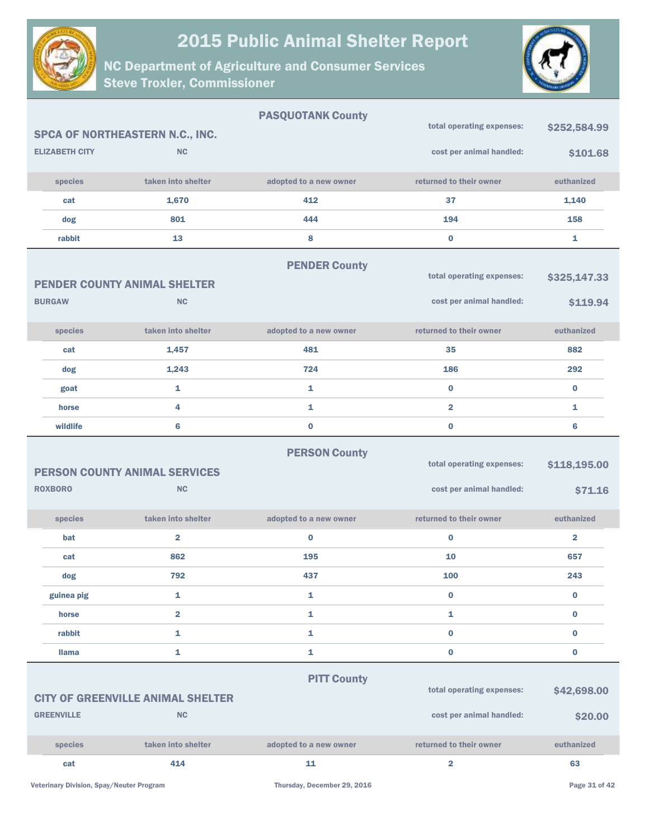



|                       |                                                   | <b>PASQUOTANK County</b> | total operating expenses: | \$252,584.99            |
|-----------------------|---------------------------------------------------|--------------------------|---------------------------|-------------------------|
|                       | SPCA OF NORTHEASTERN N.C., INC.                   |                          |                           |                         |
| <b>ELIZABETH CITY</b> | <b>NC</b>                                         |                          | cost per animal handled:  | \$101.68                |
| species               | taken into shelter                                | adopted to a new owner   | returned to their owner   | euthanized              |
| cat                   | 1,670                                             | 412                      | 37                        | 1,140                   |
| dog                   | 801                                               | 444                      | 194                       | 158                     |
| rabbit                | 13                                                | 8                        | $\bf{0}$                  | 1                       |
|                       |                                                   | <b>PENDER County</b>     |                           |                         |
|                       | <b>PENDER COUNTY ANIMAL SHELTER</b>               |                          | total operating expenses: | \$325,147.33            |
| <b>BURGAW</b>         | <b>NC</b>                                         |                          | cost per animal handled:  | \$119.94                |
| species               | taken into shelter                                | adopted to a new owner   | returned to their owner   | euthanized              |
| cat                   | 1,457                                             | 481                      | 35                        | 882                     |
| dog                   | 1,243                                             | 724                      | 186                       | 292                     |
| goat                  | 1                                                 | $\mathbf{1}$             | $\bf{0}$                  | $\bf{0}$                |
| horse                 | 4                                                 | 1                        | 2                         | 1                       |
| wildlife              | 6                                                 | $\pmb{0}$                | $\bf{0}$                  | $6\phantom{1}$          |
|                       |                                                   | <b>PERSON County</b>     |                           |                         |
|                       |                                                   |                          | total operating expenses: | \$118,195.00            |
| <b>ROXBORO</b>        | <b>PERSON COUNTY ANIMAL SERVICES</b><br><b>NC</b> |                          | cost per animal handled:  | \$71.16                 |
| species               | taken into shelter                                | adopted to a new owner   | returned to their owner   | euthanized              |
| bat                   | 2                                                 | $\bf{0}$                 | $\bf{0}$                  | $\overline{\mathbf{2}}$ |
| cat                   | 862                                               | 195                      | 10                        | 657                     |
| dog                   | 792                                               | 437                      | 100                       | 243                     |
| guinea pig            | 1                                                 | 1                        | $\bf{0}$                  | 0                       |
| horse                 | $\overline{\mathbf{2}}$                           | $\mathbf{1}$             | 1                         | 0                       |
| rabbit                | 1                                                 | $\mathbf{1}$             | $\pmb{0}$                 | 0                       |
| <b>Ilama</b>          | 1                                                 | $\mathbf{1}$             | $\bf{0}$                  | 0                       |
|                       |                                                   | <b>PITT County</b>       | total operating expenses: |                         |
|                       | <b>CITY OF GREENVILLE ANIMAL SHELTER</b>          |                          |                           | \$42,698.00             |
| <b>GREENVILLE</b>     | <b>NC</b>                                         |                          | cost per animal handled:  | \$20.00                 |
| species               | taken into shelter                                | adopted to a new owner   | returned to their owner   | euthanized              |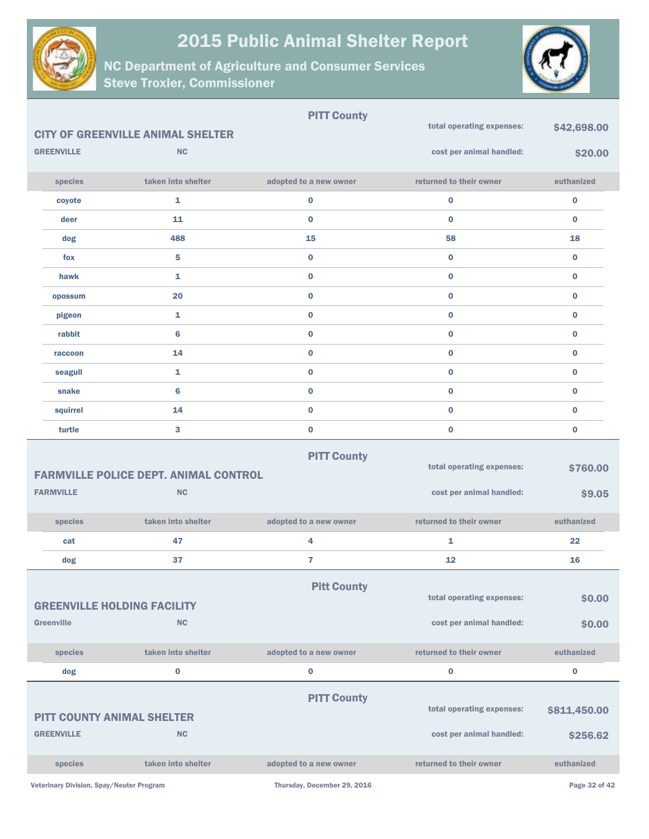



|                                                         |                                                           | <b>PITT County</b>          |                                                       |                    |
|---------------------------------------------------------|-----------------------------------------------------------|-----------------------------|-------------------------------------------------------|--------------------|
|                                                         | <b>CITY OF GREENVILLE ANIMAL SHELTER</b>                  |                             | total operating expenses:                             | \$42,698.00        |
| <b>GREENVILLE</b>                                       | <b>NC</b>                                                 |                             | cost per animal handled:                              | \$20.00            |
| species                                                 | taken into shelter                                        | adopted to a new owner      | returned to their owner                               | euthanized         |
| coyote                                                  | 1                                                         | 0                           | $\bf{0}$                                              | $\bf{0}$           |
| deer                                                    | 11                                                        | $\mathbf 0$                 | $\bf{0}$                                              | $\bf{0}$           |
| dog                                                     | 488                                                       | 15                          | 58                                                    | 18                 |
| fox                                                     | 5                                                         | $\mathbf 0$                 | $\bf{0}$                                              | $\bf{0}$           |
| hawk                                                    | $\mathbf{1}$                                              | $\mathbf 0$                 | $\mathbf{0}$                                          | $\bf{0}$           |
| opossum                                                 | 20                                                        | $\mathbf 0$                 | $\bf{0}$                                              | $\bf{0}$           |
| pigeon                                                  | $\mathbf{1}$                                              | $\mathbf 0$                 | $\mathbf{0}$                                          | $\bf{0}$           |
| rabbit                                                  | $6\phantom{1}6$                                           | $\mathbf 0$                 | $\bf{0}$                                              | $\bf{0}$           |
| raccoon                                                 | 14                                                        | $\mathbf 0$                 | $\bf{0}$                                              | $\bf{0}$           |
| seagull                                                 | 1                                                         | $\mathbf 0$                 | $\bf{0}$                                              | $\bf{0}$           |
| snake                                                   | $6\phantom{1}6$                                           | $\mathbf 0$                 | $\bf{0}$                                              | $\bf{0}$           |
| squirrel                                                | 14                                                        | 0                           | $\bf{0}$                                              | $\bf{0}$           |
| turtle                                                  | 3                                                         | 0                           | $\bf{0}$                                              | $\bf{0}$           |
| <b>FARMVILLE</b>                                        | <b>FARMVILLE POLICE DEPT. ANIMAL CONTROL</b><br><b>NC</b> | <b>PITT County</b>          | total operating expenses:<br>cost per animal handled: | \$760.00<br>\$9.05 |
|                                                         |                                                           |                             |                                                       |                    |
| species                                                 | taken into shelter                                        | adopted to a new owner      | returned to their owner                               | euthanized         |
| cat                                                     | 47                                                        | 4                           | 1                                                     | 22                 |
| dog                                                     | 37                                                        | $\overline{7}$              | 12                                                    | 16                 |
| <b>GREENVILLE HOLDING FACILITY</b><br><b>Greenville</b> | <b>NC</b>                                                 | <b>Pitt County</b>          | total operating expenses:<br>cost per animal handled: | \$0.00<br>\$0.00   |
| species                                                 | taken into shelter                                        | adopted to a new owner      | returned to their owner                               | euthanized         |
| dog                                                     | $\bf{0}$                                                  | 0                           | $\bf{0}$                                              | $\bf{0}$           |
|                                                         |                                                           |                             |                                                       |                    |
| <b>PITT COUNTY ANIMAL SHELTER</b>                       |                                                           | <b>PITT County</b>          | total operating expenses:                             | \$811,450.00       |
| <b>GREENVILLE</b>                                       | <b>NC</b>                                                 |                             | cost per animal handled:                              | \$256.62           |
| species                                                 | taken into shelter                                        | adopted to a new owner      | returned to their owner                               | euthanized         |
| Veterinary Division, Spay/Neuter Program                |                                                           | Thursday, December 29, 2016 |                                                       | Page 32 of 42      |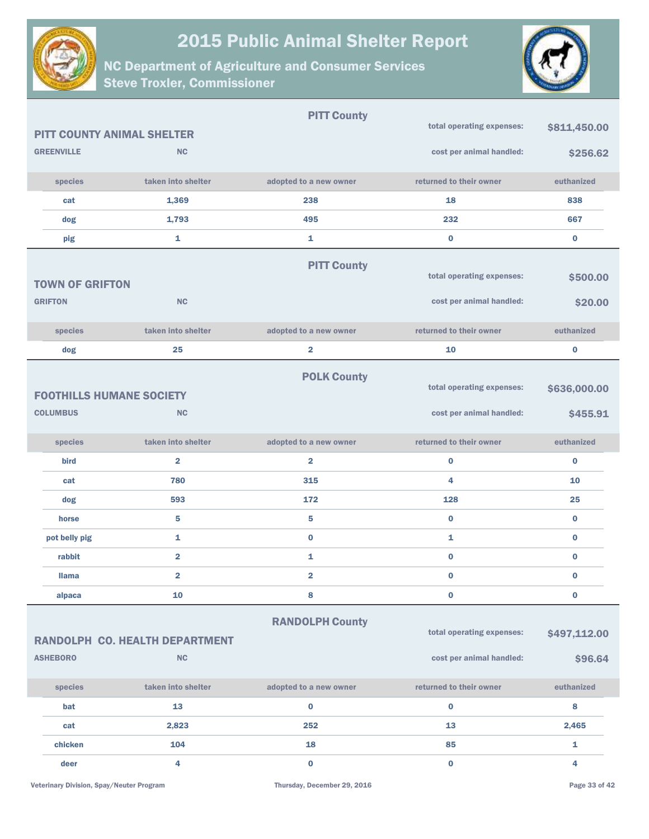



|                                   |                                       | <b>PITT County</b>      |                           |              |
|-----------------------------------|---------------------------------------|-------------------------|---------------------------|--------------|
| <b>PITT COUNTY ANIMAL SHELTER</b> |                                       |                         | total operating expenses: | \$811,450.00 |
| <b>GREENVILLE</b>                 | <b>NC</b>                             |                         | cost per animal handled:  | \$256.62     |
| species                           | taken into shelter                    | adopted to a new owner  | returned to their owner   | euthanized   |
| cat                               | 1,369                                 | 238                     | 18                        | 838          |
| dog                               | 1,793                                 | 495                     | 232                       | 667          |
| pig                               | $\mathbf{1}$                          | 1                       | $\bf{0}$                  | $\bf{0}$     |
|                                   |                                       | <b>PITT County</b>      |                           |              |
| <b>TOWN OF GRIFTON</b>            |                                       |                         | total operating expenses: | \$500.00     |
| <b>GRIFTON</b>                    | NC                                    |                         | cost per animal handled:  | \$20.00      |
| species                           | taken into shelter                    | adopted to a new owner  | returned to their owner   | euthanized   |
| dog                               | 25                                    | $\overline{\mathbf{2}}$ | 10                        | $\bf{0}$     |
| <b>FOOTHILLS HUMANE SOCIETY</b>   |                                       | <b>POLK County</b>      | total operating expenses: | \$636,000.00 |
| <b>COLUMBUS</b>                   | <b>NC</b>                             |                         | cost per animal handled:  | \$455.91     |
| species                           | taken into shelter                    | adopted to a new owner  | returned to their owner   | euthanized   |
| bird                              | $\overline{2}$                        | $\overline{2}$          | $\bf{0}$                  | $\bf{0}$     |
| cat                               | 780                                   | 315                     | 4                         | 10           |
| dog                               | 593                                   | 172                     | 128                       | 25           |
| horse                             | 5                                     | 5                       | $\bf{0}$                  | $\bf{0}$     |
| pot belly pig                     | 1                                     | $\bf{0}$                | 1                         | $\bf{0}$     |
| rabbit                            | $\overline{\mathbf{2}}$               | 1                       | $\bf{0}$                  | $\bf{0}$     |
| <b>Ilama</b>                      | $\overline{\mathbf{2}}$               | $\overline{\mathbf{2}}$ | $\bf{0}$                  | 0            |
| alpaca                            | 10                                    | 8                       | $\pmb{0}$                 | $\bf{0}$     |
|                                   | <b>RANDOLPH CO. HEALTH DEPARTMENT</b> | <b>RANDOLPH County</b>  | total operating expenses: | \$497,112.00 |
| <b>ASHEBORO</b>                   | <b>NC</b>                             |                         | cost per animal handled:  | \$96.64      |
| species                           | taken into shelter                    | adopted to a new owner  | returned to their owner   | euthanized   |
| bat                               | 13                                    | $\bf{0}$                | $\pmb{0}$                 | 8            |
| cat                               | 2,823                                 | 252                     | 13                        | 2,465        |
| chicken                           | 104                                   | 18                      | 85                        | 1            |
| deer                              | 4                                     | $\mathbf 0$             | $\bf{0}$                  | 4            |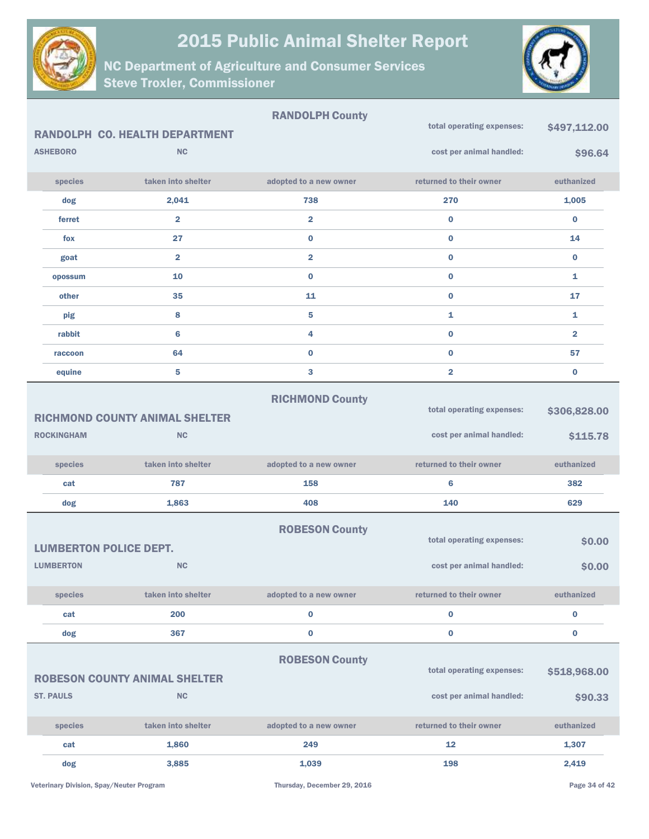



|                               |                                       | <b>RANDOLPH County</b>  | total operating expenses: |                |
|-------------------------------|---------------------------------------|-------------------------|---------------------------|----------------|
|                               | <b>RANDOLPH CO. HEALTH DEPARTMENT</b> |                         |                           | \$497,112.00   |
| <b>ASHEBORO</b>               | <b>NC</b>                             |                         | cost per animal handled:  | \$96.64        |
| species                       | taken into shelter                    | adopted to a new owner  | returned to their owner   | euthanized     |
| dog                           | 2,041                                 | 738                     | 270                       | 1,005          |
| ferret                        | $\overline{\mathbf{2}}$               | $\overline{\mathbf{2}}$ | $\mathbf{0}$              | $\bf{0}$       |
| fox                           | 27                                    | $\bf{0}$                | $\bf{0}$                  | 14             |
| goat                          | $\overline{\mathbf{2}}$               | $\overline{2}$          | $\bf{0}$                  | $\bf{0}$       |
| opossum                       | 10                                    | $\bf{0}$                | $\bf{0}$                  | 1              |
| other                         | 35                                    | 11                      | $\bf{0}$                  | 17             |
| pig                           | 8                                     | 5                       | 1                         | 1              |
| rabbit                        | 6                                     | 4                       | $\mathbf{0}$              | $\overline{2}$ |
| raccoon                       | 64                                    | $\bf{0}$                | $\mathbf{0}$              | 57             |
| equine                        | 5                                     | 3                       | $\overline{2}$            | $\bf{0}$       |
|                               |                                       | <b>RICHMOND County</b>  |                           |                |
|                               | <b>RICHMOND COUNTY ANIMAL SHELTER</b> |                         | total operating expenses: | \$306,828.00   |
| <b>ROCKINGHAM</b>             | <b>NC</b>                             |                         | cost per animal handled:  | \$115.78       |
| species                       | taken into shelter                    | adopted to a new owner  | returned to their owner   | euthanized     |
| cat                           | 787                                   | 158                     | 6                         | 382            |
| dog                           | 1,863                                 | 408                     | 140                       | 629            |
|                               |                                       | <b>ROBESON County</b>   |                           |                |
| <b>LUMBERTON POLICE DEPT.</b> |                                       |                         | total operating expenses: | \$0.00         |
| <b>LUMBERTON</b>              | <b>NC</b>                             |                         | cost per animal handled:  | \$0.00         |
| species                       | taken into shelter                    | adopted to a new owner  | returned to their owner   | euthanized     |
| cat                           | 200                                   | $\bf{0}$                | $\bf{0}$                  | $\pmb{0}$      |
| dog                           | 367                                   | $\bf{0}$                | 0                         | 0              |
|                               |                                       |                         |                           |                |
|                               | <b>ROBESON COUNTY ANIMAL SHELTER</b>  | <b>ROBESON County</b>   | total operating expenses: | \$518,968.00   |
| <b>ST. PAULS</b>              | <b>NC</b>                             |                         | cost per animal handled:  | \$90.33        |
|                               |                                       |                         |                           |                |
| species                       | taken into shelter                    | adopted to a new owner  | returned to their owner   | euthanized     |
| cat                           | 1,860                                 | 249                     | 12                        | 1,307          |
| dog                           | 3,885                                 | 1,039                   | 198                       | 2,419          |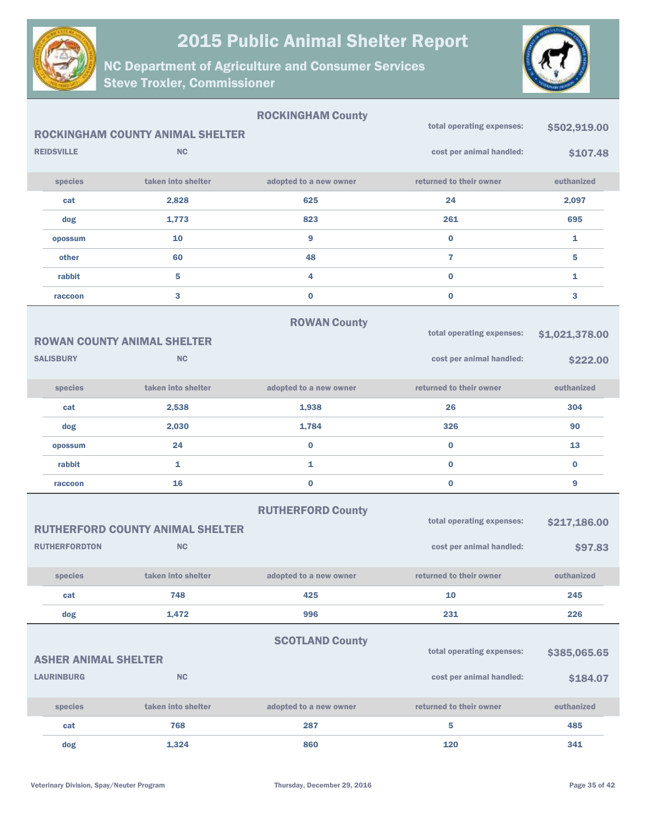



|                             |                                         | <b>ROCKINGHAM County</b> |                           |                |
|-----------------------------|-----------------------------------------|--------------------------|---------------------------|----------------|
|                             | <b>ROCKINGHAM COUNTY ANIMAL SHELTER</b> |                          | total operating expenses: | \$502,919.00   |
| <b>REIDSVILLE</b>           | <b>NC</b>                               |                          | cost per animal handled:  | \$107.48       |
| species                     | taken into shelter                      | adopted to a new owner   | returned to their owner   | euthanized     |
| cat                         | 2,828                                   | 625                      | 24                        | 2,097          |
| dog                         | 1,773                                   | 823                      | 261                       | 695            |
| opossum                     | 10                                      | 9                        | $\bf{0}$                  | 1              |
| other                       | 60                                      | 48                       | 7                         | 5              |
| rabbit                      | 5                                       | 4                        | $\bf{0}$                  | $\mathbf{1}$   |
| raccoon                     | 3                                       | $\bf{0}$                 | $\bf{0}$                  | 3              |
|                             |                                         | <b>ROWAN County</b>      |                           |                |
|                             | <b>ROWAN COUNTY ANIMAL SHELTER</b>      |                          | total operating expenses: | \$1,021,378.00 |
| <b>SALISBURY</b>            | <b>NC</b>                               |                          | cost per animal handled:  | \$222.00       |
| species                     | taken into shelter                      | adopted to a new owner   | returned to their owner   | euthanized     |
| cat                         | 2,538                                   | 1,938                    | 26                        | 304            |
| dog                         | 2,030                                   | 1,784                    | 326                       | 90             |
| opossum                     | 24                                      | $\bf{0}$                 | $\bf{0}$                  | 13             |
| rabbit                      | 1                                       | 1                        | $\bf{0}$                  | $\bf{0}$       |
| raccoon                     | 16                                      | $\bf{0}$                 | $\bf{0}$                  | 9              |
|                             | <b>RUTHERFORD COUNTY ANIMAL SHELTER</b> | <b>RUTHERFORD County</b> | total operating expenses: | \$217,186.00   |
| <b>RUTHERFORDTON</b>        | <b>NC</b>                               |                          | cost per animal handled:  | \$97.83        |
| species                     | taken into shelter                      | adopted to a new owner   | returned to their owner   | euthanized     |
| cat                         | 748                                     | 425                      | 10                        | 245            |
| dog                         | 1,472                                   | 996                      | 231                       | 226            |
| <b>ASHER ANIMAL SHELTER</b> |                                         | <b>SCOTLAND County</b>   | total operating expenses: | \$385,065.65   |
| <b>LAURINBURG</b>           | <b>NC</b>                               |                          | cost per animal handled:  | \$184.07       |
| species                     | taken into shelter                      | adopted to a new owner   | returned to their owner   | euthanized     |
| cat                         | 768                                     | 287                      | 5                         | 485            |
| dog                         | 1,324                                   | 860                      | 120                       | 341            |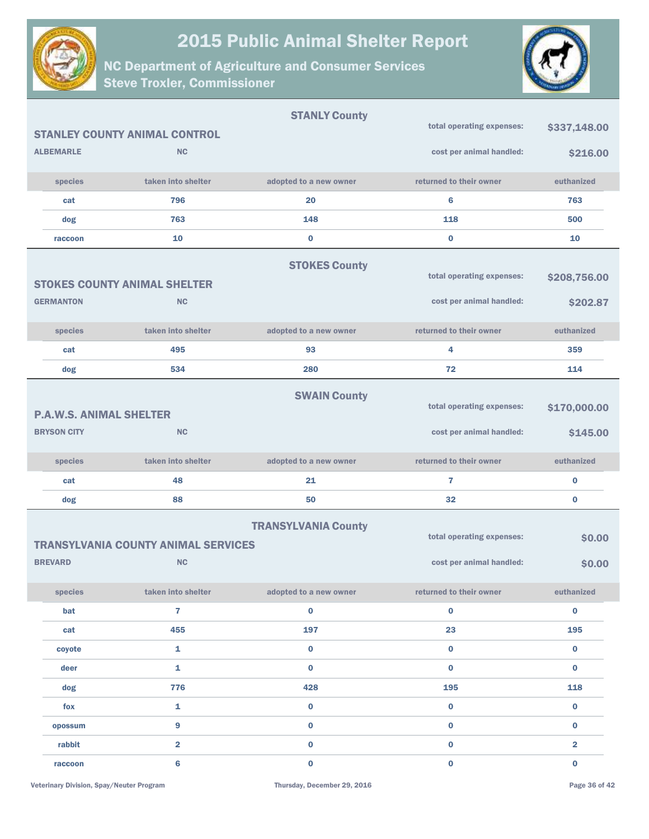



|                                |                                            | <b>STANLY County</b>       |                           |                         |
|--------------------------------|--------------------------------------------|----------------------------|---------------------------|-------------------------|
|                                | <b>STANLEY COUNTY ANIMAL CONTROL</b>       |                            | total operating expenses: | \$337,148.00            |
| <b>ALBEMARLE</b>               | <b>NC</b>                                  |                            | cost per animal handled:  | \$216.00                |
| species                        | taken into shelter                         | adopted to a new owner     | returned to their owner   | euthanized              |
| cat                            | 796                                        | 20                         | 6                         | 763                     |
| dog                            | 763                                        | 148                        | 118                       | 500                     |
| raccoon                        | 10                                         | $\bf{0}$                   | $\bf{0}$                  | 10                      |
|                                |                                            | <b>STOKES County</b>       |                           |                         |
|                                | <b>STOKES COUNTY ANIMAL SHELTER</b>        |                            | total operating expenses: | \$208,756.00            |
| <b>GERMANTON</b>               | <b>NC</b>                                  |                            | cost per animal handled:  | \$202.87                |
| species                        | taken into shelter                         | adopted to a new owner     | returned to their owner   | euthanized              |
| cat                            | 495                                        | 93                         | 4                         | 359                     |
| dog                            | 534                                        | 280                        | 72                        | 114                     |
|                                |                                            | <b>SWAIN County</b>        |                           |                         |
| <b>P.A.W.S. ANIMAL SHELTER</b> |                                            |                            | total operating expenses: | \$170,000.00            |
| <b>BRYSON CITY</b>             | <b>NC</b>                                  |                            | cost per animal handled:  | \$145.00                |
| species                        | taken into shelter                         | adopted to a new owner     | returned to their owner   | euthanized              |
| cat                            | 48                                         | 21                         | 7                         | $\bf{0}$                |
| dog                            | 88                                         | 50                         | 32                        | $\bf{0}$                |
|                                | <b>TRANSYLVANIA COUNTY ANIMAL SERVICES</b> | <b>TRANSYLVANIA County</b> | total operating expenses: | \$0.00                  |
| <b>BREVARD</b>                 | <b>NC</b>                                  |                            | cost per animal handled:  | \$0.00                  |
| species                        | taken into shelter                         | adopted to a new owner     | returned to their owner   | euthanized              |
| bat                            | $\overline{7}$                             | $\pmb{0}$                  | $\bf{0}$                  | $\bf{0}$                |
| cat                            | 455                                        | 197                        | 23                        | 195                     |
| coyote                         | 1                                          | $\mathbf 0$                | $\mathbf 0$               | $\bf{0}$                |
| deer                           | 1                                          | $\pmb{0}$                  | $\bf{0}$                  | $\bf{0}$                |
| dog                            | 776                                        | 428                        | 195                       | 118                     |
| fox                            | 1                                          | $\pmb{0}$                  | $\bf{0}$                  | $\bf{0}$                |
| opossum                        | 9                                          | $\mathbf 0$                | $\mathbf 0$               | $\bf{0}$                |
| rabbit                         | $\overline{\mathbf{2}}$                    | $\pmb{0}$                  | $\mathbf 0$               | $\overline{\mathbf{2}}$ |
| raccoon                        | 6                                          | $\pmb{0}$                  | $\mathbf 0$               | $\mathbf 0$             |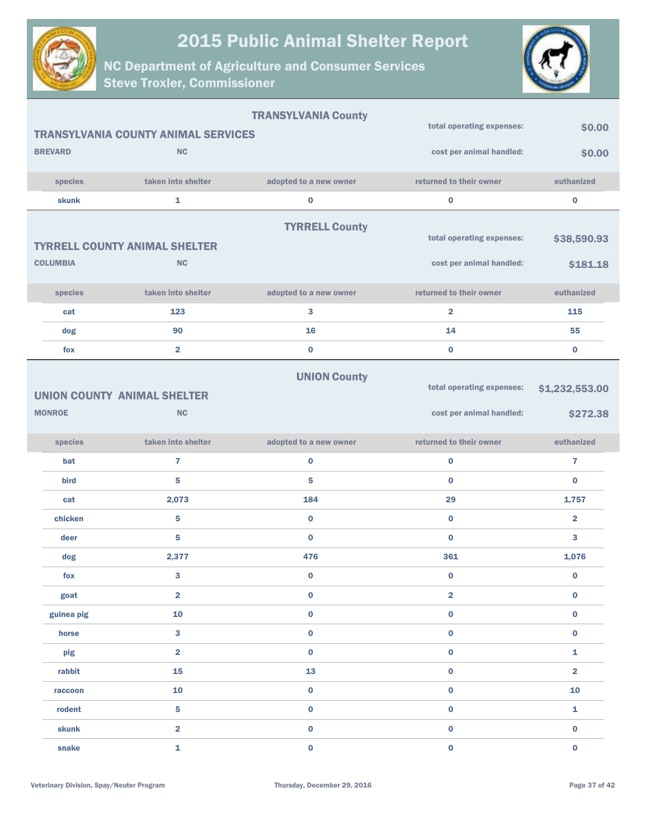



|                 |                                            | <b>TRANSYLVANIA County</b> |                           |                         |
|-----------------|--------------------------------------------|----------------------------|---------------------------|-------------------------|
|                 | <b>TRANSYLVANIA COUNTY ANIMAL SERVICES</b> |                            | total operating expenses: | \$0.00                  |
| <b>BREVARD</b>  | <b>NC</b>                                  |                            | cost per animal handled:  | \$0.00                  |
| species         | taken into shelter                         | adopted to a new owner     | returned to their owner   | euthanized              |
| skunk           | $\mathbf{1}$                               | $\bf{0}$                   | $\bf{0}$                  | $\bf{0}$                |
|                 | <b>TYRRELL COUNTY ANIMAL SHELTER</b>       | <b>TYRRELL County</b>      | total operating expenses: | \$38,590.93             |
| <b>COLUMBIA</b> | <b>NC</b>                                  |                            | cost per animal handled:  | \$181.18                |
| species         | taken into shelter                         | adopted to a new owner     | returned to their owner   | euthanized              |
| cat             | 123                                        | 3                          | $\overline{\mathbf{2}}$   | 115                     |
| dog             | 90                                         | 16                         | 14                        | 55                      |
| fox             | $\overline{\mathbf{2}}$                    | $\bf{0}$                   | $\bf{0}$                  | $\bf{0}$                |
|                 | <b>UNION COUNTY ANIMAL SHELTER</b>         | <b>UNION County</b>        | total operating expenses: | \$1,232,553.00          |
| <b>MONROE</b>   | NC                                         |                            | cost per animal handled:  | \$272.38                |
|                 |                                            |                            |                           |                         |
| species         | taken into shelter                         | adopted to a new owner     | returned to their owner   | euthanized              |
| bat             | $\overline{7}$                             | $\bf{0}$                   | $\bf{0}$                  | 7                       |
| bird            | 5                                          | 5                          | $\bf{0}$                  | $\bf{0}$                |
| cat             | 2,073                                      | 184                        | 29                        | 1,757                   |
| chicken         | 5                                          | $\bf{0}$                   | $\bf{0}$                  | $\overline{\mathbf{2}}$ |
| deer            | 5                                          | $\bf{0}$                   | $\bf{0}$                  | 3                       |
| dog             | 2,377                                      | 476                        | 361                       | 1,076                   |
| fox             | 3                                          | $\bf{0}$                   | $\bf{0}$                  | $\bf{0}$                |
| goat            | $\overline{\mathbf{2}}$                    | 0                          | 2                         | 0                       |
| guinea pig      | 10                                         | $\bf{0}$                   | $\pmb{0}$                 | $\bf{0}$                |
| horse           | 3                                          | $\pmb{0}$                  | $\pmb{0}$                 | 0                       |
| pig             | $\overline{\mathbf{2}}$                    | $\bf{0}$                   | $\bf{0}$                  | 1                       |
| rabbit          | 15                                         | 13                         | $\pmb{0}$                 | $\overline{\mathbf{2}}$ |
| raccoon         | 10                                         | $\pmb{0}$                  | $\bf{0}$                  | 10                      |
| rodent          | 5                                          | $\pmb{0}$                  | $\pmb{0}$                 | 1                       |
| skunk           | $\overline{\mathbf{2}}$                    | $\bf{0}$                   | $\bf{0}$                  | $\bf{0}$                |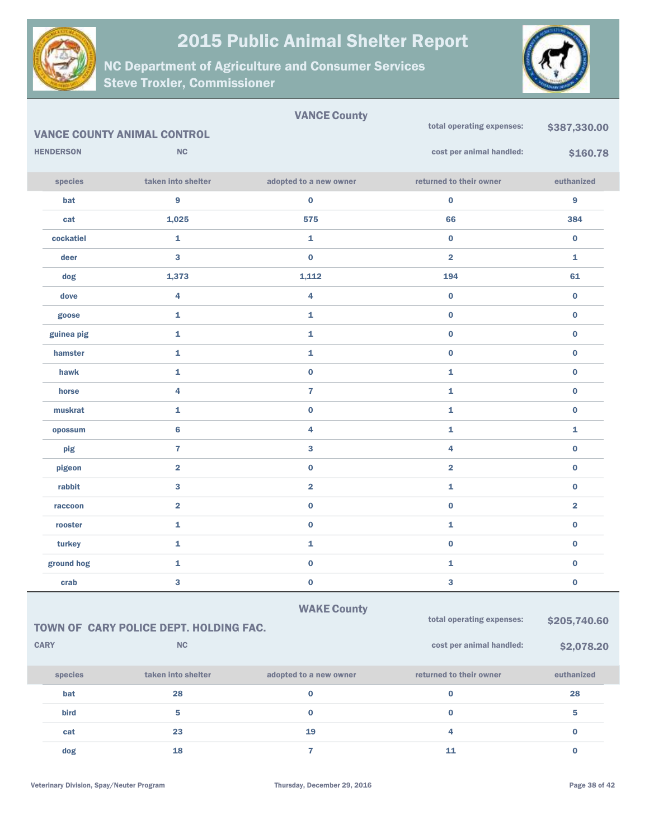



|                  |                                        | <b>VANCE County</b>     |                           |                         |  |
|------------------|----------------------------------------|-------------------------|---------------------------|-------------------------|--|
|                  | <b>VANCE COUNTY ANIMAL CONTROL</b>     |                         | total operating expenses: | \$387,330.00            |  |
| <b>HENDERSON</b> | NC                                     |                         | cost per animal handled:  | \$160.78                |  |
| species          | taken into shelter                     | adopted to a new owner  | returned to their owner   | euthanized              |  |
| bat              | 9                                      | $\bf{0}$                | $\pmb{0}$                 | 9                       |  |
| cat              | 1,025                                  | 575                     | 66                        | 384                     |  |
| cockatiel        | $\mathbf{1}$                           | 1                       | $\bf{0}$                  | $\bf{0}$                |  |
| deer             | 3                                      | $\bf{0}$                | $\overline{\mathbf{2}}$   | 1                       |  |
| dog              | 1,373                                  | 1,112                   | 194                       | 61                      |  |
| dove             | 4                                      | 4                       | $\pmb{0}$                 | $\bf{0}$                |  |
| goose            | $\mathbf{1}$                           | 1                       | $\bf{0}$                  | $\bf{0}$                |  |
| guinea pig       | 1                                      | 1                       | $\pmb{0}$                 | $\bf{0}$                |  |
| hamster          | $\mathbf{1}$                           | 1                       | $\bf{0}$                  | $\bf{0}$                |  |
| hawk             | 1                                      | $\bf{0}$                | 1                         | $\bf{0}$                |  |
| horse            | 4                                      | $\overline{7}$          | 1                         | $\bf{0}$                |  |
| muskrat          | 1                                      | $\bf{0}$                | 1                         | $\bf{0}$                |  |
| opossum          | $\bf 6$                                | 4                       | 1                         | $\mathbf{1}$            |  |
| pig              | $\overline{7}$                         | 3                       | 4                         | $\bf{0}$                |  |
| pigeon           | $\overline{\mathbf{2}}$                | $\bf{0}$                | $\overline{\mathbf{2}}$   | $\bf{0}$                |  |
| rabbit           | 3                                      | $\overline{\mathbf{2}}$ | 1                         | $\bf{0}$                |  |
| raccoon          | $\overline{\mathbf{2}}$                | $\bf{0}$                | $\bf{0}$                  | $\overline{\mathbf{2}}$ |  |
| rooster          | 1                                      | $\bf{0}$                | 1                         | $\bf{0}$                |  |
| turkey           | 1                                      | 1                       | $\pmb{0}$                 | $\bf{0}$                |  |
| ground hog       | 1                                      | $\bf{0}$                | 1                         | $\bf{0}$                |  |
| crab             | 3                                      | $\bf{0}$                | 3                         | $\bf{0}$                |  |
|                  |                                        | <b>WAKE County</b>      |                           |                         |  |
|                  | TOWN OF CARY POLICE DEPT. HOLDING FAC. |                         | total operating expenses: | \$205,740.60            |  |
| <b>CARY</b>      | NC                                     |                         | cost per animal handled:  | \$2,078.20              |  |
| species          | taken into shelter                     | adopted to a new owner  | returned to their owner   | euthanized              |  |
| bat              | 28                                     | $\bf{0}$                | $\bf{0}$                  | 28                      |  |
| bird             | 5                                      | $\bf{0}$                | $\bf{0}$                  | 5                       |  |
| cat              | 23                                     | 19                      | 4                         | $\mathbf 0$             |  |
| dog              | 18                                     | $\mathbf{7}$            | ${\bf 11}$                | $\mathbf 0$             |  |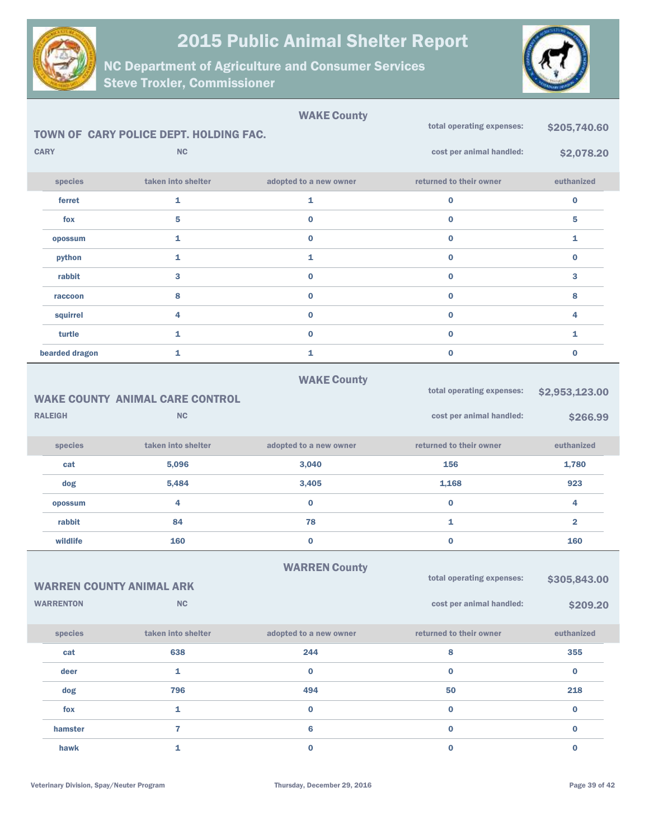



|                                                     | TOWN OF CARY POLICE DEPT. HOLDING FAC. | <b>WAKE County</b>     | total operating expenses: | \$205,740.60            |
|-----------------------------------------------------|----------------------------------------|------------------------|---------------------------|-------------------------|
| <b>CARY</b>                                         | <b>NC</b>                              |                        | cost per animal handled:  |                         |
|                                                     |                                        |                        |                           | \$2,078.20              |
| species                                             | taken into shelter                     | adopted to a new owner | returned to their owner   | euthanized              |
| ferret                                              | 1                                      | 1                      | 0                         | $\bf{0}$                |
| fox                                                 | 5                                      | $\bf{0}$               | $\bf{0}$                  | 5                       |
| opossum                                             | 1                                      | $\bf{0}$               | $\bf{0}$                  | 1                       |
| python                                              | 1                                      | 1                      | $\bf{0}$                  | $\bf{0}$                |
| rabbit                                              | 3                                      | $\bf{0}$               | $\bf{0}$                  | 3                       |
| raccoon                                             | 8                                      | $\pmb{0}$              | $\bf{0}$                  | 8                       |
| squirrel                                            | 4                                      | $\bf{0}$               | $\bf{0}$                  | 4                       |
| turtle                                              | 1                                      | $\pmb{0}$              | $\bf{0}$                  | 1                       |
| bearded dragon                                      | 1                                      | 1                      | $\bf{0}$                  | $\pmb{0}$               |
|                                                     |                                        | <b>WAKE County</b>     |                           |                         |
|                                                     | <b>WAKE COUNTY ANIMAL CARE CONTROL</b> |                        | total operating expenses: | \$2,953,123.00          |
| <b>RALEIGH</b>                                      | <b>NC</b>                              |                        | cost per animal handled:  | \$266.99                |
|                                                     |                                        |                        |                           |                         |
|                                                     |                                        |                        |                           |                         |
| species                                             | taken into shelter                     | adopted to a new owner | returned to their owner   | euthanized              |
| cat                                                 | 5,096                                  | 3,040                  | 156                       | 1,780                   |
| dog                                                 | 5,484                                  | 3,405                  | 1,168                     | 923                     |
| opossum                                             | 4                                      | $\bf{0}$               | $\bf{0}$                  | 4                       |
| rabbit                                              | 84                                     | 78                     | 1                         | $\overline{\mathbf{2}}$ |
| wildlife                                            | 160                                    | $\pmb{0}$              | $\bf{0}$                  | 160                     |
|                                                     |                                        |                        |                           |                         |
|                                                     |                                        | <b>WARREN County</b>   | total operating expenses: | \$305,843.00            |
| <b>WARREN COUNTY ANIMAL ARK</b><br><b>WARRENTON</b> | NC                                     |                        | cost per animal handled:  |                         |
|                                                     |                                        |                        |                           | \$209.20                |
| species                                             | taken into shelter                     | adopted to a new owner | returned to their owner   | euthanized              |
| cat                                                 | 638                                    | 244                    | 8                         | 355                     |
| deer                                                | $\mathbf{1}$                           | $\bf{0}$               | $\mathbf{0}$              | $\bf{0}$                |
| dog                                                 | 796                                    | 494                    | 50                        | 218                     |
| fox                                                 | $\mathbf{1}$                           | $\pmb{0}$              | 0                         | $\mathbf 0$             |
| hamster                                             | $\overline{7}$                         | $\bf 6$                | $\bf{0}$                  | $\bf{0}$                |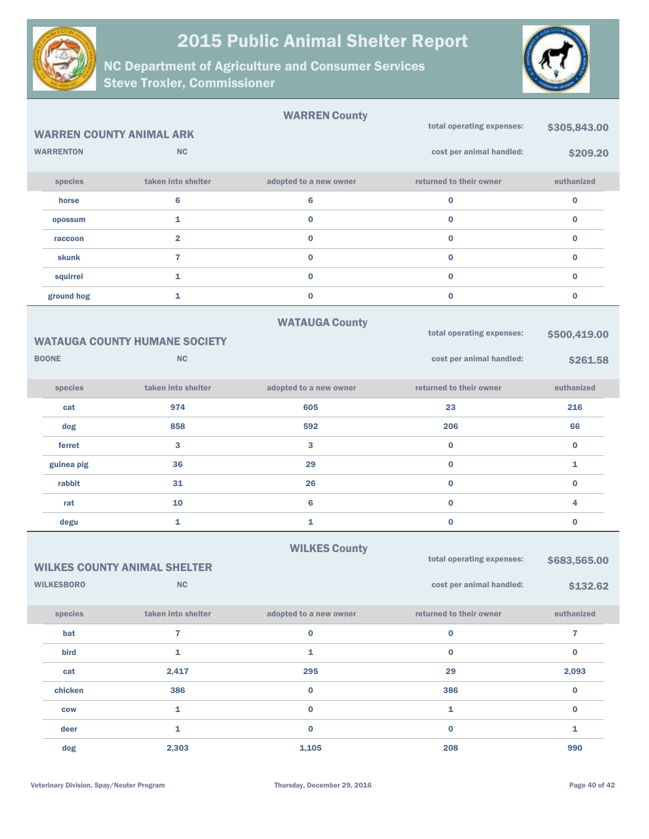



|                                 |                                      | <b>WARREN County</b>   |                           |              |
|---------------------------------|--------------------------------------|------------------------|---------------------------|--------------|
| <b>WARREN COUNTY ANIMAL ARK</b> |                                      |                        | total operating expenses: | \$305,843.00 |
| <b>WARRENTON</b>                | <b>NC</b>                            |                        | cost per animal handled:  | \$209.20     |
| species                         | taken into shelter                   | adopted to a new owner | returned to their owner   | euthanized   |
| horse                           | $6\phantom{a}$                       | 6                      | $\bf{0}$                  | $\bf{0}$     |
| opossum                         | 1                                    | 0                      | $\bf{0}$                  | $\bf{0}$     |
| raccoon                         | $\overline{\mathbf{2}}$              | 0                      | $\bf{0}$                  | $\bf{0}$     |
| skunk                           | 7                                    | $\bf{0}$               | $\bf{0}$                  | $\bf{0}$     |
| squirrel                        | 1                                    | $\mathbf 0$            | $\bf{0}$                  | $\bf{0}$     |
| ground hog                      | 1                                    | 0                      | $\bf{0}$                  | $\bf{0}$     |
|                                 |                                      | <b>WATAUGA County</b>  |                           |              |
|                                 | <b>WATAUGA COUNTY HUMANE SOCIETY</b> |                        | total operating expenses: | \$500,419.00 |
| <b>BOONE</b>                    | <b>NC</b>                            |                        | cost per animal handled:  | \$261.58     |
|                                 |                                      |                        |                           |              |
| species                         | taken into shelter                   | adopted to a new owner | returned to their owner   | euthanized   |
| cat                             | 974                                  | 605                    | 23                        | 216          |
| dog                             | 858                                  | 592                    | 206                       | 66           |
| ferret                          | 3                                    | 3                      | $\bf{0}$                  | $\bf{0}$     |
| guinea pig                      | 36                                   | 29                     | $\bf{0}$                  | $\mathbf{1}$ |
| rabbit                          | 31                                   | 26                     | $\bf{0}$                  | $\bf{0}$     |
| rat                             | 10                                   | 6                      | $\bf{0}$                  | 4            |
| degu                            | 1                                    | 1                      | $\bf{0}$                  | $\bf{0}$     |
|                                 |                                      | <b>WILKES County</b>   |                           |              |
|                                 | <b>WILKES COUNTY ANIMAL SHELTER</b>  |                        | total operating expenses: | \$683,565.00 |
| <b>WILKESBORO</b>               | NC                                   |                        | cost per animal handled:  | \$132.62     |
| species                         | taken into shelter                   | adopted to a new owner | returned to their owner   | euthanized   |
| bat                             | $\overline{\mathbf{r}}$              | 0                      | $\pmb{0}$                 | $\mathbf{7}$ |
| bird                            | $\mathbf{1}$                         | 1                      | $\bf{0}$                  | $\bf{0}$     |
| cat                             | 2,417                                | 295                    | 29                        | 2,093        |
| chicken                         | 386                                  | 0                      | 386                       | $\mathbf 0$  |
| <b>COW</b>                      | 1                                    | $\mathbf 0$            | ${\bf 1}$                 | $\mathbf 0$  |
| deer                            | 1                                    | $\mathbf{0}$           | $\bf{0}$                  | $\mathbf{1}$ |
| dog                             | 2,303                                | 1,105                  | 208                       | 990          |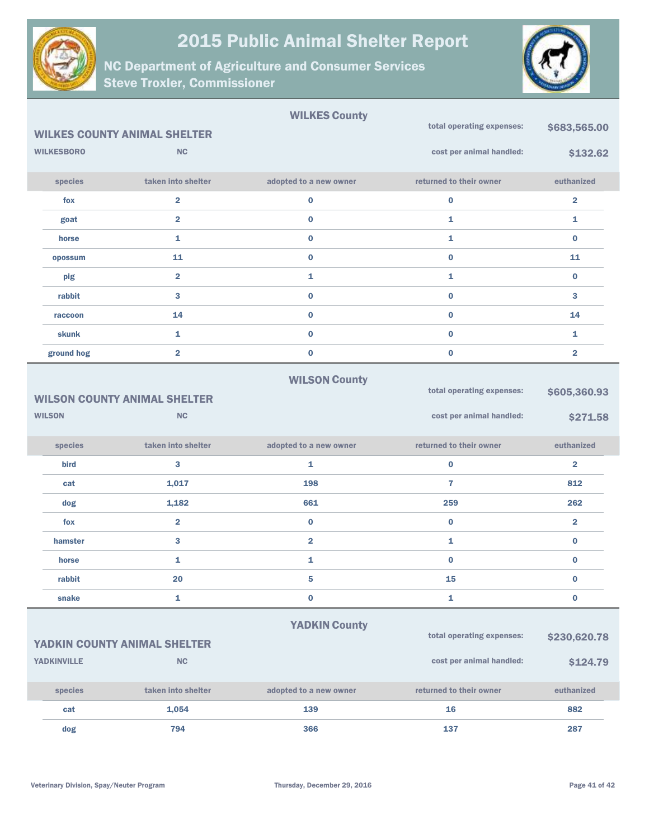



|                    |                                     | <b>WILKES County</b>    |                           |                         |
|--------------------|-------------------------------------|-------------------------|---------------------------|-------------------------|
|                    | <b>WILKES COUNTY ANIMAL SHELTER</b> |                         | total operating expenses: | \$683,565.00            |
| <b>WILKESBORO</b>  | <b>NC</b>                           |                         | cost per animal handled:  | \$132.62                |
| species            | taken into shelter                  | adopted to a new owner  | returned to their owner   | euthanized              |
| fox                | $\overline{\mathbf{2}}$             | $\bf{0}$                | $\bf{0}$                  | $\overline{\mathbf{2}}$ |
| goat               | $\overline{2}$                      | $\bf{0}$                | 1                         | 1                       |
| horse              | 1                                   | $\bf{0}$                | 1                         | $\mathbf 0$             |
| opossum            | 11                                  | $\bf{0}$                | $\bf{0}$                  | 11                      |
| pig                | $\overline{\mathbf{2}}$             | 1                       | 1                         | $\bf{0}$                |
| rabbit             | 3                                   | $\bf{0}$                | $\bf{0}$                  | 3                       |
| raccoon            | 14                                  | $\bf{0}$                | $\bf{0}$                  | 14                      |
| skunk              | 1                                   | $\bf{0}$                | $\bf{0}$                  | 1                       |
| ground hog         | $\overline{\mathbf{2}}$             | $\bf{0}$                | $\bf{0}$                  | $\overline{\mathbf{2}}$ |
|                    | <b>WILSON COUNTY ANIMAL SHELTER</b> | <b>WILSON County</b>    | total operating expenses: | \$605,360.93            |
| <b>WILSON</b>      | <b>NC</b>                           |                         | cost per animal handled:  | \$271.58                |
| species            | taken into shelter                  | adopted to a new owner  | returned to their owner   | euthanized              |
| bird               | 3                                   | 1                       | $\bf{0}$                  | $\overline{\mathbf{2}}$ |
| cat                | 1,017                               | 198                     | $\overline{7}$            | 812                     |
| dog                | 1,182                               | 661                     | 259                       | 262                     |
| fox                | $\overline{\mathbf{2}}$             | $\bf{0}$                | $\bf{0}$                  | $\overline{\mathbf{2}}$ |
| hamster            | 3                                   | $\overline{\mathbf{2}}$ | 1                         | $\mathbf 0$             |
| horse              | 1                                   | 1                       | $\bf{0}$                  | 0                       |
| rabbit             | 20                                  | 5                       | 15                        | 0                       |
| snake              | 1                                   | $\bf{0}$                | 1                         | 0                       |
|                    | YADKIN COUNTY ANIMAL SHELTER        | <b>YADKIN County</b>    | total operating expenses: | \$230,620.78            |
| <b>YADKINVILLE</b> | NC                                  |                         | cost per animal handled:  | \$124.79                |
| species            | taken into shelter                  | adopted to a new owner  | returned to their owner   | euthanized              |
| cat                | 1,054                               | 139                     | 16                        | 882                     |
| dog                | 794                                 | 366                     | 137                       | 287                     |